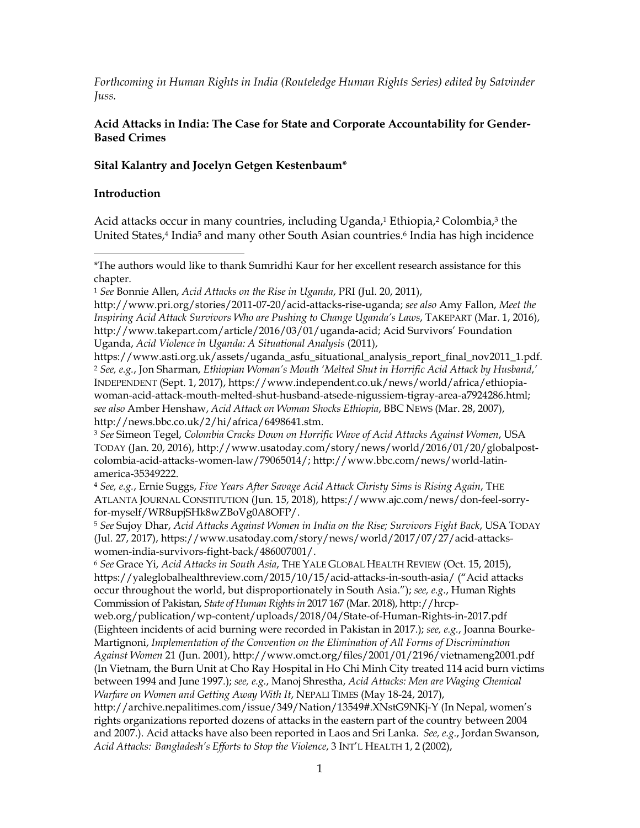*Forthcoming in Human Rights in India (Routeledge Human Rights Series) edited by Satvinder Juss.*

## **Acid Attacks in India: The Case for State and Corporate Accountability for Gender-Based Crimes**

### **Sital Kalantry and Jocelyn Getgen Kestenbaum\***

#### **Introduction**

 $\overline{a}$ 

Acid attacks occur in many countries, including Uganda,<sup>1</sup> Ethiopia,<sup>2</sup> Colombia,<sup>3</sup> the United States,<sup>4</sup> India<sup>5</sup> and many other South Asian countries.<sup>6</sup> India has high incidence

<sup>4</sup> *See, e.g.*, Ernie Suggs, *Five Years After Savage Acid Attack Christy Sims is Rising Again*, THE ATLANTA JOURNAL CONSTITUTION (Jun. 15, 2018), [https://www.ajc.com/news/don-feel-sorry](https://www.ajc.com/news/don-feel-sorry-for-myself/WR8upjSHk8wZBoVg0A8OFP/)[for-myself/WR8upjSHk8wZBoVg0A8OFP/.](https://www.ajc.com/news/don-feel-sorry-for-myself/WR8upjSHk8wZBoVg0A8OFP/)

<sup>5</sup> *See* Sujoy Dhar, *Acid Attacks Against Women in India on the Rise; Survivors Fight Back*, USA TODAY (Jul. 27, 2017), [https://www.usatoday.com/story/news/world/2017/07/27/acid-attacks](https://www.usatoday.com/story/news/world/2017/07/27/acid-attacks-women-india-survivors-fight-back/486007001/)[women-india-survivors-fight-back/486007001/.](https://www.usatoday.com/story/news/world/2017/07/27/acid-attacks-women-india-survivors-fight-back/486007001/)

<sup>6</sup> *See* Grace Yi, *Acid Attacks in South Asia*, THE YALE GLOBAL HEALTH REVIEW (Oct. 15, 2015), <https://yaleglobalhealthreview.com/2015/10/15/acid-attacks-in-south-asia/> ("Acid attacks occur throughout the world, but disproportionately in South Asia."); *see, e.g.*, Human Rights Commission of Pakistan, *State of Human Rights in* 2017 167 (Mar. 2018)[, http://hrcp-](http://hrcp-web.org/publication/wp-content/uploads/2018/04/State-of-Human-Rights-in-2017.pdf)

[web.org/publication/wp-content/uploads/2018/04/State-of-Human-Rights-in-2017.pdf](http://hrcp-web.org/publication/wp-content/uploads/2018/04/State-of-Human-Rights-in-2017.pdf) (Eighteen incidents of acid burning were recorded in Pakistan in 2017.); *see, e.g.*, Joanna Bourke-Martignoni, *Implementation of the Convention on the Elimination of All Forms of Discrimination Against Women* 21 (Jun. 2001)[, http://www.omct.org/files/2001/01/2196/vietnameng2001.pdf](http://www.omct.org/files/2001/01/2196/vietnameng2001.pdf) (In Vietnam, the Burn Unit at Cho Ray Hospital in Ho Chi Minh City treated 114 acid burn victims between 1994 and June 1997.); *see, e.g.*, Manoj Shrestha, *Acid Attacks: Men are Waging Chemical Warfare on Women and Getting Away With It*, NEPALI TIMES (May 18-24, 2017),

<http://archive.nepalitimes.com/issue/349/Nation/13549#.XNstG9NKj-Y> (In Nepal, women's rights organizations reported dozens of attacks in the eastern part of the country between 2004 and 2007.). Acid attacks have also been reported in Laos and Sri Lanka. *See, e.g.*, Jordan Swanson, *Acid Attacks: Bangladesh's Efforts to Stop the Violence*, 3 INT'L HEALTH 1, 2 (2002),

<sup>\*</sup>The authors would like to thank Sumridhi Kaur for her excellent research assistance for this chapter.

<sup>1</sup> *See* Bonnie Allen, *Acid Attacks on the Rise in Uganda*, PRI (Jul. 20, 2011),

[http://www.pri.org/stories/2011-07-20/acid-attacks-rise-uganda;](http://www.pri.org/stories/2011-07-20/acid-attacks-rise-uganda) *see also* Amy Fallon, *Meet the Inspiring Acid Attack Survivors Who are Pushing to Change Uganda's Laws*, TAKEPART (Mar. 1, 2016), [http://www.takepart.com/article/2016/03/01/uganda-acid;](http://www.takepart.com/article/2016/03/01/uganda-acid) Acid Survivors' Foundation Uganda, *Acid Violence in Uganda: A Situational Analysis* (2011),

[https://www.asti.org.uk/assets/uganda\\_asfu\\_situational\\_analysis\\_report\\_final\\_nov2011\\_1.pdf.](https://www.asti.org.uk/assets/uganda_asfu_situational_analysis_report_final_nov2011_1.pdf) 2 *See, e.g.*, Jon Sharman, *Ethiopian Woman's Mouth 'Melted Shut in Horrific Acid Attack by Husband*,*'*  INDEPENDENT (Sept. 1, 2017)[, https://www.independent.co.uk/news/world/africa/ethiopia](https://www.independent.co.uk/news/world/africa/ethiopia-woman-acid-attack-mouth-melted-shut-husband-atsede-nigussiem-tigray-area-a7924286.html)[woman-acid-attack-mouth-melted-shut-husband-atsede-nigussiem-tigray-area-a7924286.html;](https://www.independent.co.uk/news/world/africa/ethiopia-woman-acid-attack-mouth-melted-shut-husband-atsede-nigussiem-tigray-area-a7924286.html) *see also* Amber Henshaw, *Acid Attack on Woman Shocks Ethiopia*, BBC NEWS (Mar. 28, 2007), [http://news.bbc.co.uk/2/hi/africa/6498641.stm.](http://news.bbc.co.uk/2/hi/africa/6498641.stm)

<sup>3</sup> *See* Simeon Tegel, *Colombia Cracks Down on Horrific Wave of Acid Attacks Against Women*, USA TODAY (Jan. 20, 2016)[, http://www.usatoday.com/story/news/world/2016/01/20/globalpost](http://www.usatoday.com/story/news/world/2016/01/20/globalpost-colombia-acid-attacks-women-law/79065014/)[colombia-acid-attacks-women-law/79065014/;](http://www.usatoday.com/story/news/world/2016/01/20/globalpost-colombia-acid-attacks-women-law/79065014/) [http://www.bbc.com/news/world-latin](http://www.bbc.com/news/world-latin-america-35349222)[america-35349222.](http://www.bbc.com/news/world-latin-america-35349222)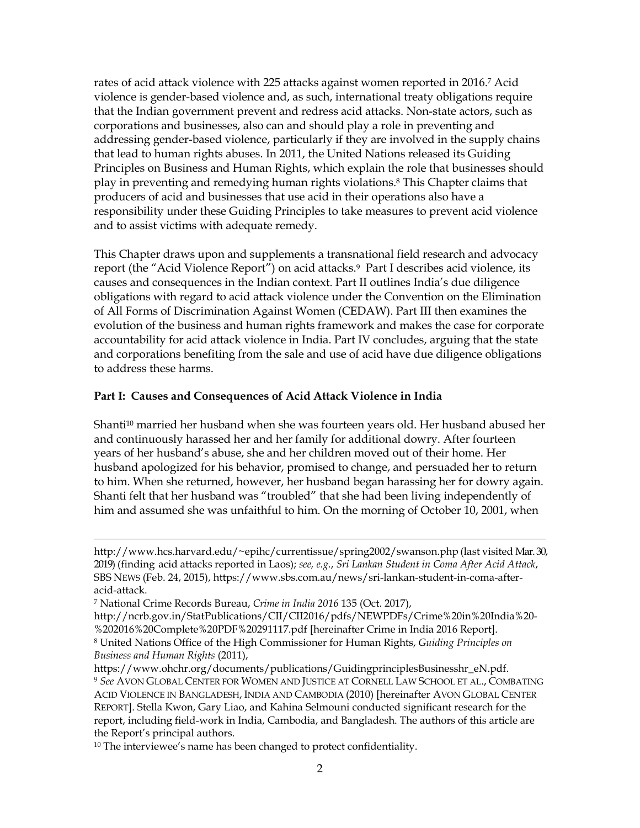rates of acid attack violence with 225 attacks against women reported in 2016.7 Acid violence is gender-based violence and, as such, international treaty obligations require that the Indian government prevent and redress acid attacks. Non-state actors, such as corporations and businesses, also can and should play a role in preventing and addressing gender-based violence, particularly if they are involved in the supply chains that lead to human rights abuses. In 2011, the United Nations released its Guiding Principles on Business and Human Rights, which explain the role that businesses should play in preventing and remedying human rights violations.8 This Chapter claims that producers of acid and businesses that use acid in their operations also have a responsibility under these Guiding Principles to take measures to prevent acid violence and to assist victims with adequate remedy.

This Chapter draws upon and supplements a transnational field research and advocacy report (the "Acid Violence Report") on acid attacks.<sup>9</sup> Part I describes acid violence, its causes and consequences in the Indian context. Part II outlines India's due diligence obligations with regard to acid attack violence under the Convention on the Elimination of All Forms of Discrimination Against Women (CEDAW). Part III then examines the evolution of the business and human rights framework and makes the case for corporate accountability for acid attack violence in India. Part IV concludes, arguing that the state and corporations benefiting from the sale and use of acid have due diligence obligations to address these harms.

#### **Part I: Causes and Consequences of Acid Attack Violence in India**

Shanti<sup>10</sup> married her husband when she was fourteen years old. Her husband abused her and continuously harassed her and her family for additional dowry. After fourteen years of her husband's abuse, she and her children moved out of their home. Her husband apologized for his behavior, promised to change, and persuaded her to return to him. When she returned, however, her husband began harassing her for dowry again. Shanti felt that her husband was "troubled" that she had been living independently of him and assumed she was unfaithful to him. On the morning of October 10, 2001, when

[http://www.hcs.harvard.edu/~epihc/currentissue/spring2002/swanson.php](http://www.hcs.harvard.edu/%7Eepihc/currentissue/spring2002/swanson.php) (last visited Mar. 30, 2019) (finding acid attacks reported in Laos); *see, e.g.*, *Sri Lankan Student in Coma After Acid Attack*, SBS NEWS (Feb. 24, 2015), [https://www.sbs.com.au/news/sri-lankan-student-in-coma-after](https://www.sbs.com.au/news/sri-lankan-student-in-coma-after-acid-attack)[acid-attack.](https://www.sbs.com.au/news/sri-lankan-student-in-coma-after-acid-attack)

<sup>7</sup> National Crime Records Bureau, *Crime in India 2016* 135 (Oct. 2017),

[http://ncrb.gov.in/StatPublications/CII/CII2016/pdfs/NEWPDFs/Crime%20in%20India%20-](http://ncrb.gov.in/StatPublications/CII/CII2016/pdfs/NEWPDFs/Crime%20in%20India%20-%202016%20Complete%20PDF%20291117.pdf) [%202016%20Complete%20PDF%20291117.pdf](http://ncrb.gov.in/StatPublications/CII/CII2016/pdfs/NEWPDFs/Crime%20in%20India%20-%202016%20Complete%20PDF%20291117.pdf) [hereinafter Crime in India 2016 Report]. <sup>8</sup> United Nations Office of the High Commissioner for Human Rights, *Guiding Principles on Business and Human Rights* (2011),

[https://www.ohchr.org/documents/publications/GuidingprinciplesBusinesshr\\_eN.pdf.](https://www.ohchr.org/documents/publications/GuidingprinciplesBusinesshr_eN.pdf) 9 *See* AVON GLOBAL CENTER FOR WOMEN AND JUSTICE AT CORNELL LAW SCHOOL ET AL., COMBATING ACID VIOLENCE IN BANGLADESH, INDIA AND CAMBODIA (2010) [hereinafter AVON GLOBAL CENTER REPORT]. Stella Kwon, Gary Liao, and Kahina Selmouni conducted significant research for the report, including field-work in India, Cambodia, and Bangladesh. The authors of this article are the Report's principal authors.

<sup>&</sup>lt;sup>10</sup> The interviewee's name has been changed to protect confidentiality.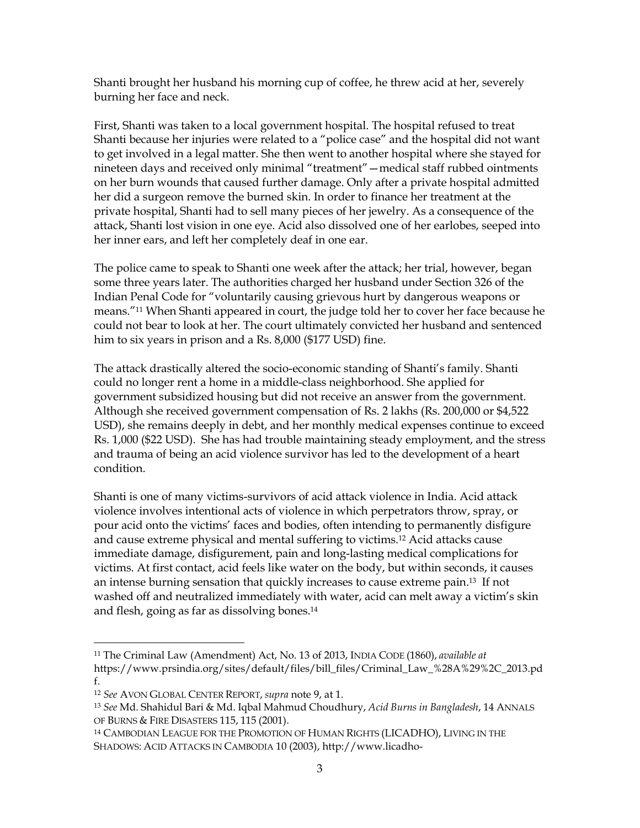Shanti brought her husband his morning cup of coffee, he threw acid at her, severely burning her face and neck.

First, Shanti was taken to a local government hospital. The hospital refused to treat Shanti because her injuries were related to a "police case" and the hospital did not want to get involved in a legal matter. She then went to another hospital where she stayed for nineteen days and received only minimal "treatment"—medical staff rubbed ointments on her burn wounds that caused further damage. Only after a private hospital admitted her did a surgeon remove the burned skin. In order to finance her treatment at the private hospital, Shanti had to sell many pieces of her jewelry. As a consequence of the attack, Shanti lost vision in one eye. Acid also dissolved one of her earlobes, seeped into her inner ears, and left her completely deaf in one ear.

The police came to speak to Shanti one week after the attack; her trial, however, began some three years later. The authorities charged her husband under Section 326 of the Indian Penal Code for "voluntarily causing grievous hurt by dangerous weapons or means."11 When Shanti appeared in court, the judge told her to cover her face because he could not bear to look at her. The court ultimately convicted her husband and sentenced him to six years in prison and a Rs. 8,000 (\$177 USD) fine.

The attack drastically altered the socio-economic standing of Shanti's family. Shanti could no longer rent a home in a middle-class neighborhood. She applied for government subsidized housing but did not receive an answer from the government. Although she received government compensation of Rs. 2 lakhs (Rs. 200,000 or \$4,522 USD), she remains deeply in debt, and her monthly medical expenses continue to exceed Rs. 1,000 (\$22 USD). She has had trouble maintaining steady employment, and the stress and trauma of being an acid violence survivor has led to the development of a heart condition.

Shanti is one of many victims-survivors of acid attack violence in India. Acid attack violence involves intentional acts of violence in which perpetrators throw, spray, or pour acid onto the victims' faces and bodies, often intending to permanently disfigure and cause extreme physical and mental suffering to victims.12 Acid attacks cause immediate damage, disfigurement, pain and long-lasting medical complications for victims. At first contact, acid feels like water on the body, but within seconds, it causes an intense burning sensation that quickly increases to cause extreme pain.13 If not washed off and neutralized immediately with water, acid can melt away a victim's skin and flesh, going as far as dissolving bones.14

<sup>11</sup> The Criminal Law (Amendment) Act, No. 13 of 2013, INDIA CODE (1860), *available at*  [https://www.prsindia.org/sites/default/files/bill\\_files/Criminal\\_Law\\_%28A%29%2C\\_2013.pd](https://www.prsindia.org/sites/default/files/bill_files/Criminal_Law_%28A%29%2C_2013.pdf) [f.](https://www.prsindia.org/sites/default/files/bill_files/Criminal_Law_%28A%29%2C_2013.pdf)

<sup>12</sup> *See* AVON GLOBAL CENTER REPORT, *supra* note 9, at 1.

<sup>13</sup> *See* Md. Shahidul Bari & Md. Iqbal Mahmud Choudhury, *Acid Burns in Bangladesh*, 14 ANNALS OF BURNS & FIRE DISASTERS 115, 115 (2001).

<sup>14</sup> CAMBODIAN LEAGUE FOR THE PROMOTION OF HUMAN RIGHTS (LICADHO), LIVING IN THE SHADOWS: ACID ATTACKS IN CAMBODIA 10 (2003), [http://www.licadho-](http://www.licadho-cambodia.org/reports/files/41acid%20report%20English.pdf)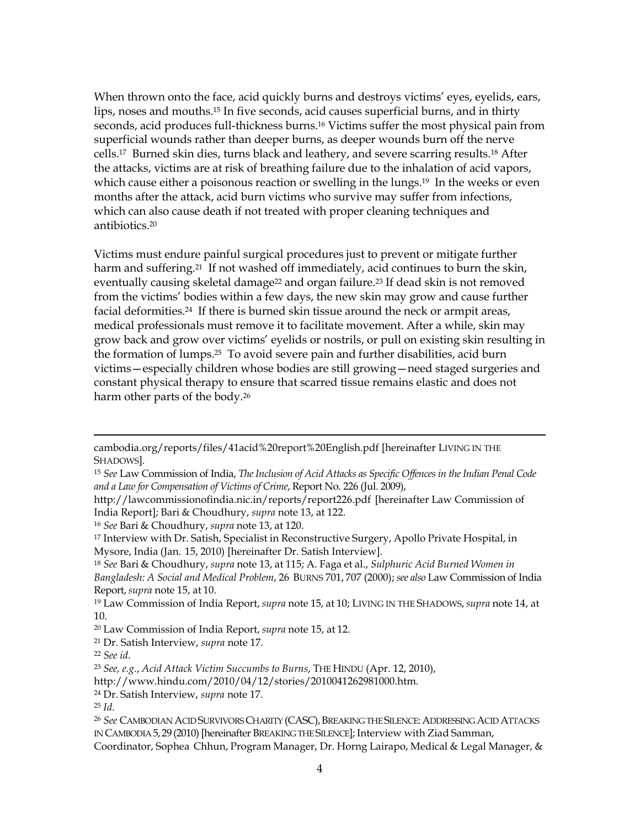When thrown onto the face, acid quickly burns and destroys victims' eyes, eyelids, ears, lips, noses and mouths.15 In five seconds, acid causes superficial burns, and in thirty seconds, acid produces full-thickness burns.<sup>16</sup> Victims suffer the most physical pain from superficial wounds rather than deeper burns, as deeper wounds burn off the nerve cells.17 Burned skin dies, turns black and leathery, and severe scarring results.18 After the attacks, victims are at risk of breathing failure due to the inhalation of acid vapors, which cause either a poisonous reaction or swelling in the lungs.<sup>19</sup> In the weeks or even months after the attack, acid burn victims who survive may suffer from infections, which can also cause death if not treated with proper cleaning techniques and antibiotics.20

Victims must endure painful surgical procedures just to prevent or mitigate further harm and suffering.<sup>21</sup> If not washed off immediately, acid continues to burn the skin, eventually causing skeletal damage<sup>22</sup> and organ failure.<sup>23</sup> If dead skin is not removed from the victims' bodies within a few days, the new skin may grow and cause further facial deformities.<sup>24</sup> If there is burned skin tissue around the neck or armpit areas, medical professionals must remove it to facilitate movement. After a while, skin may grow back and grow over victims' eyelids or nostrils, or pull on existing skin resulting in the formation of lumps.25 To avoid severe pain and further disabilities, acid burn victims—especially children whose bodies are still growing—need staged surgeries and constant physical therapy to ensure that scarred tissue remains elastic and does not harm other parts of the body.26

[cambodia.org/reports/files/41acid%20report%20English.pdf](http://www.licadho-cambodia.org/reports/files/41acid%20report%20English.pdf) [hereinafter LIVING IN THE SHADOWS].

<sup>15</sup> *See* Law Commission of India, *The Inclusion of Acid Attacks as Specific Offences in the Indian Penal Code and a Law for Compensation of Victims of Crime*, Report No. 226 (Jul. 2009),

<http://lawcommissionofindia.nic.in/reports/report226.pdf> [hereinafter Law Commission of India Report]; Bari & Choudhury, *supra* note 13, at 122.

<sup>16</sup> *See* Bari & Choudhury, *supra* note 13, at 120.

<sup>17</sup> Interview with Dr. Satish, Specialist in Reconstructive Surgery, Apollo Private Hospital, in Mysore, India (Jan. 15, 2010) [hereinafter Dr. Satish Interview].

<sup>18</sup> *See* Bari & Choudhury, *supra* note 13, at 115; A. Faga et al., *Sulphuric Acid Burned Women in Bangladesh: A Social and Medical Problem*, 26 BURNS 701, 707 (2000); *see also* Law Commission of India Report, *supra* note 15, at 10.

<sup>19</sup> Law Commission of India Report, *supra* note 15, at 10; LIVING IN THE SHADOWS, *supra* note 14, at 10. 20 Law Commission of India Report, *supra* note 15, at 12.

<sup>21</sup> Dr. Satish Interview, *supra* note 17.

<sup>22</sup> *See id*.

<sup>23</sup> *See, e.g.*, *Acid Attack Victim Succumbs to Burns*, THE HINDU (Apr. 12, 2010),

[http://www.hindu.com/2010/04/12/stories/2010041262981000.htm.](http://www.hindu.com/2010/04/12/stories/2010041262981000.htm)

<sup>24</sup> Dr. Satish Interview, *supra* note 17.

<sup>25</sup> *Id.*

<sup>&</sup>lt;sup>26</sup> See CAMBODIAN ACID SURVIVORS CHARITY (CASC), BREAKING THE SILENCE: ADDRESSING ACID ATTACKS IN CAMBODIA5,29 (2010) [hereinafter BREAKING THE SILENCE]; Interview with Ziad Samman,

Coordinator, Sophea Chhun, Program Manager, Dr. Horng Lairapo, Medical & Legal Manager, &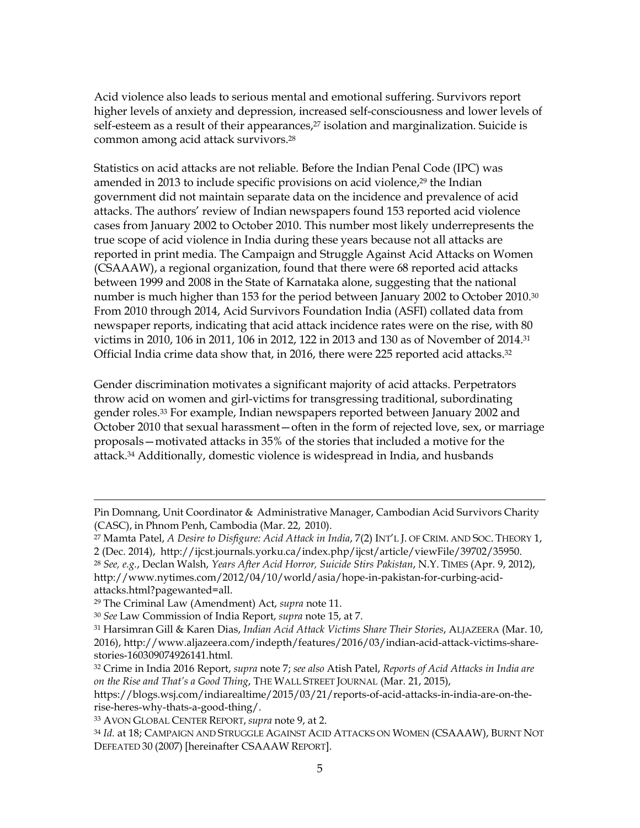Acid violence also leads to serious mental and emotional suffering. Survivors report higher levels of anxiety and depression, increased self-consciousness and lower levels of self-esteem as a result of their appearances, $27$  isolation and marginalization. Suicide is common among acid attack survivors.28

Statistics on acid attacks are not reliable. Before the Indian Penal Code (IPC) was amended in 2013 to include specific provisions on acid violence,<sup>29</sup> the Indian government did not maintain separate data on the incidence and prevalence of acid attacks. The authors' review of Indian newspapers found 153 reported acid violence cases from January 2002 to October 2010. This number most likely underrepresents the true scope of acid violence in India during these years because not all attacks are reported in print media. The Campaign and Struggle Against Acid Attacks on Women (CSAAAW), a regional organization, found that there were 68 reported acid attacks between 1999 and 2008 in the State of Karnataka alone, suggesting that the national number is much higher than 153 for the period between January 2002 to October 2010.<sup>30</sup> From 2010 through 2014, Acid Survivors Foundation India (ASFI) collated data from newspaper reports, indicating that acid attack incidence rates were on the rise, with 80 victims in 2010, 106 in 2011, 106 in 2012, 122 in 2013 and 130 as of November of 2014.31 Official India crime data show that, in 2016, there were 225 reported acid attacks.<sup>32</sup>

Gender discrimination motivates a significant majority of acid attacks. Perpetrators throw acid on women and girl-victims for transgressing traditional, subordinating gender roles.33 For example, Indian newspapers reported between January 2002 and October 2010 that sexual harassment—often in the form of rejected love, sex, or marriage proposals—motivated attacks in 35% of the stories that included a motive for the attack.34 Additionally, domestic violence is widespread in India, and husbands

Pin Domnang, Unit Coordinator & Administrative Manager, Cambodian Acid Survivors Charity (CASC), in Phnom Penh, Cambodia (Mar. 22, 2010).

<sup>27</sup> Mamta Patel, *A Desire to Disfigure: Acid Attack in India*, 7(2) INT'L J. OF CRIM. AND SOC. THEORY 1, 2 (Dec. 2014), [http://ijcst.journals.yorku.ca/index.php/ijcst/article/viewFile/39702/35950.](http://ijcst.journals.yorku.ca/index.php/ijcst/article/viewFile/39702/35950)

<sup>28</sup> *See, e.g.*, Declan Walsh, *Years After Acid Horror, Suicide Stirs Pakistan*, N.Y. TIMES (Apr. 9, 2012), [http://www.nytimes.com/2012/04/10/world/asia/hope-in-pakistan-for-curbing-acid-](http://www.nytimes.com/2012/04/10/world/asia/hope-in-pakistan-for-curbing-acid-attacks.html?pagewanted=all)

[attacks.html?pagewanted=all.](http://www.nytimes.com/2012/04/10/world/asia/hope-in-pakistan-for-curbing-acid-attacks.html?pagewanted=all) 29 The Criminal Law (Amendment) Act, *supra* note 11.

<sup>30</sup> *See* Law Commission of India Report, *supra* note 15, at 7.

<sup>31</sup> Harsimran Gill & Karen Dias, *Indian Acid Attack Victims Share Their Stories*, ALJAZEERA (Mar. 10, 2016), [http://www.aljazeera.com/indepth/features/2016/03/indian-acid-attack-victims-share](http://www.aljazeera.com/indepth/features/2016/03/indian-acid-attack-victims-share-stories-160309074926141.html)stories-160309074926141.html.<br><sup>32</sup> Crime in India 2016 Report, *supra* note 7; *see also* Atish Patel, *Reports of Acid Attacks in India are* 

*on the Rise and That's a Good Thing*, THE WALL STREET JOURNAL (Mar. 21, 2015),

[https://blogs.wsj.com/indiarealtime/2015/03/21/reports-of-acid-attacks-in-india-are-on-the](https://blogs.wsj.com/indiarealtime/2015/03/21/reports-of-acid-attacks-in-india-are-on-the-rise-heres-why-thats-a-good-thing/)[rise-heres-why-thats-a-good-thing/.](https://blogs.wsj.com/indiarealtime/2015/03/21/reports-of-acid-attacks-in-india-are-on-the-rise-heres-why-thats-a-good-thing/)

<sup>33</sup> AVON GLOBAL CENTER REPORT, *supra* note 9, at 2.

<sup>34</sup> *Id.* at 18; CAMPAIGN AND STRUGGLE AGAINST ACID ATTACKS ON WOMEN (CSAAAW), BURNT NOT DEFEATED 30 (2007) [hereinafter CSAAAW REPORT].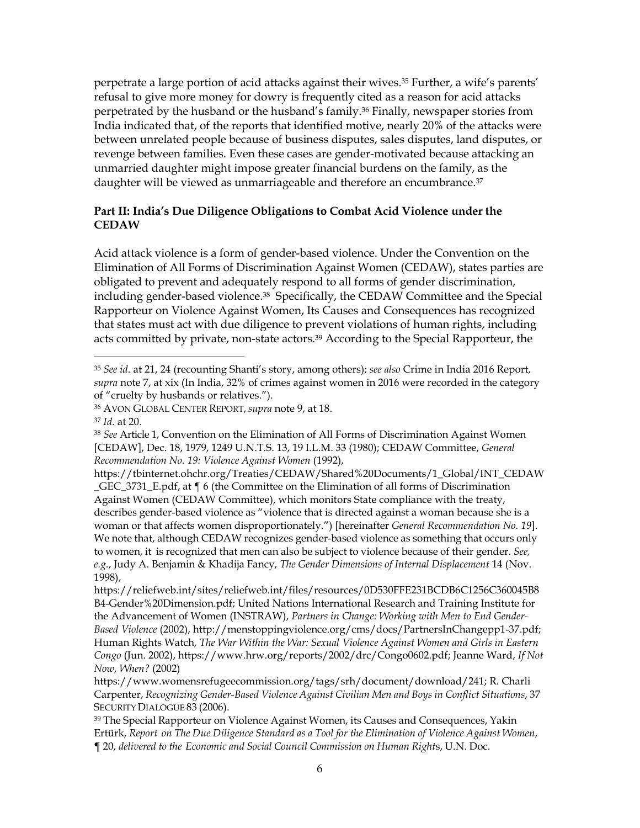perpetrate a large portion of acid attacks against their wives.35 Further, a wife's parents' refusal to give more money for dowry is frequently cited as a reason for acid attacks perpetrated by the husband or the husband's family.36 Finally, newspaper stories from India indicated that, of the reports that identified motive, nearly 20% of the attacks were between unrelated people because of business disputes, sales disputes, land disputes, or revenge between families. Even these cases are gender-motivated because attacking an unmarried daughter might impose greater financial burdens on the family, as the daughter will be viewed as unmarriageable and therefore an encumbrance.<sup>37</sup>

### **Part II: India's Due Diligence Obligations to Combat Acid Violence under the CEDAW**

Acid attack violence is a form of gender-based violence. Under the Convention on the Elimination of All Forms of Discrimination Against Women (CEDAW), states parties are obligated to prevent and adequately respond to all forms of gender discrimination, including gender-based violence.38 Specifically, the CEDAW Committee and the Special Rapporteur on Violence Against Women, Its Causes and Consequences has recognized that states must act with due diligence to prevent violations of human rights, including acts committed by private, non-state actors.39 According to the Special Rapporteur, the

<sup>35</sup> *See id.* at 21, 24 (recounting Shanti's story, among others); *see also* Crime in India 2016 Report, *supra* note 7, at xix (In India, 32% of crimes against women in 2016 were recorded in the category of "cruelty by husbands or relatives.").

<sup>36</sup> AVON GLOBAL CENTER REPORT, *supra* note 9, at 18.

<sup>37</sup> *Id.* at 20.

<sup>38</sup> *See* Article 1, Convention on the Elimination of All Forms of Discrimination Against Women [CEDAW], Dec. 18, 1979, 1249 U.N.T.S. 13, 19 I.L.M. 33 (1980); CEDAW Committee, *General Recommendation No. 19: Violence Against Women* (1992),

[https://tbinternet.ohchr.org/Treaties/CEDAW/Shared%20Documents/1\\_Global/INT\\_CEDAW](https://tbinternet.ohchr.org/Treaties/CEDAW/Shared%20Documents/1_Global/INT_CEDAW_GEC_3731_E.pdf) [\\_GEC\\_3731\\_E.pdf,](https://tbinternet.ohchr.org/Treaties/CEDAW/Shared%20Documents/1_Global/INT_CEDAW_GEC_3731_E.pdf) at ¶ 6 (the Committee on the Elimination of all forms of Discrimination Against Women (CEDAW Committee), which monitors State compliance with the treaty, describes gender-based violence as "violence that is directed against a woman because she is a woman or that affects women disproportionately.") [hereinafter *General Recommendation No. 19*]. We note that, although CEDAW recognizes gender-based violence as something that occurs only to women, it is recognized that men can also be subject to violence because of their gender. *See, e.g.*, Judy A. Benjamin & Khadija Fancy, *The Gender Dimensions of Internal Displacement* 14 (Nov. 1998),

[https://reliefweb.int/sites/reliefweb.int/files/resources/0D530FFE231BCDB6C1256C360045B8](https://reliefweb.int/sites/reliefweb.int/files/resources/0D530FFE231BCDB6C1256C360045B8B4-Gender%20Dimension.pdf) [B4-Gender%20Dimension.pdf;](https://reliefweb.int/sites/reliefweb.int/files/resources/0D530FFE231BCDB6C1256C360045B8B4-Gender%20Dimension.pdf) United Nations International Research and Training Institute for the Advancement of Women (INSTRAW), *Partners in Change: Working with Men to End Gender-Based Violence* (2002)[, http://menstoppingviolence.org/cms/docs/PartnersInChangepp1-37.pdf;](http://menstoppingviolence.org/cms/docs/PartnersInChangepp1-37.pdf) Human Rights Watch, *The War Within the War: Sexual Violence Against Women and Girls in Eastern Congo* (Jun. 2002)[, https://www.hrw.org/reports/2002/drc/Congo0602.pdf;](https://www.hrw.org/reports/2002/drc/Congo0602.pdf) Jeanne Ward, *If Not Now, When?* (2002)

[https://www.womensrefugeecommission.org/tags/srh/document/download/241;](https://www.womensrefugeecommission.org/tags/srh/document/download/241;%20R.%20Charli) R. Charli Carpenter, *Recognizing Gender-Based Violence Against Civilian Men and Boys in Conflict Situations*, 37 SECURITY DIALOGUE 83 (2006).

<sup>39</sup> The Special Rapporteur on Violence Against Women, its Causes and Consequences, Yakin Ertürk, *Report on The Due Diligence Standard as a Tool for the Elimination of Violence Against Women*, ¶ 20, *delivered to the Economic and Social Council Commission on Human Right*s, U.N. Doc.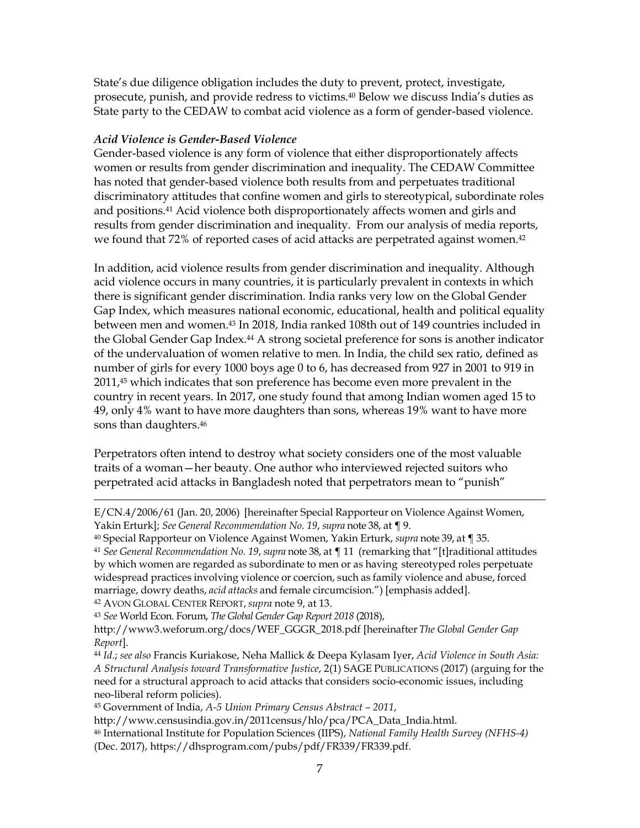State's due diligence obligation includes the duty to prevent, protect, investigate, prosecute, punish, and provide redress to victims.40 Below we discuss India's duties as State party to the CEDAW to combat acid violence as a form of gender-based violence.

#### *Acid Violence is Gender-Based Violence*

Gender-based violence is any form of violence that either disproportionately affects women or results from gender discrimination and inequality. The CEDAW Committee has noted that gender-based violence both results from and perpetuates traditional discriminatory attitudes that confine women and girls to stereotypical, subordinate roles and positions.41 Acid violence both disproportionately affects women and girls and results from gender discrimination and inequality. From our analysis of media reports, we found that 72% of reported cases of acid attacks are perpetrated against women.<sup>42</sup>

In addition, acid violence results from gender discrimination and inequality. Although acid violence occurs in many countries, it is particularly prevalent in contexts in which there is significant gender discrimination. India ranks very low on the Global Gender Gap Index, which measures national economic, educational, health and political equality between men and women.43 In 2018, India ranked 108th out of 149 countries included in the Global Gender Gap Index.44 A strong societal preference for sons is another indicator of the undervaluation of women relative to men. In India, the child sex ratio, defined as number of girls for every 1000 boys age 0 to 6, has decreased from 927 in 2001 to 919 in 2011,45 which indicates that son preference has become even more prevalent in the country in recent years. In 2017, one study found that among Indian women aged 15 to 49, only 4% want to have more daughters than sons, whereas 19% want to have more sons than daughters.<sup>46</sup>

Perpetrators often intend to destroy what society considers one of the most valuable traits of a woman—her beauty. One author who interviewed rejected suitors who perpetrated acid attacks in Bangladesh noted that perpetrators mean to "punish"

<sup>41</sup> *See General Recommendation No. 19*, *supra* note 38, at ¶ 11 (remarking that "[t]raditional attitudes by which women are regarded as subordinate to men or as having stereotyped roles perpetuate widespread practices involving violence or coercion, such as family violence and abuse, forced marriage, dowry deaths, *acid attacks* and female circumcision.") [emphasis added].

<sup>42</sup> AVON GLOBAL CENTER REPORT, *supra* note 9, at 13.

 $\overline{a}$ 

<sup>43</sup> *See* World Econ. Forum, *The Global Gender Gap Report 2018* (2018),

[http://www3.weforum.org/docs/WEF\\_GGGR\\_2018.pdf](http://www3.weforum.org/docs/WEF_GGGR_2018.pdf) [hereinafter *The Global Gender Gap Report*].

<sup>44</sup> *Id*.; *see also* Francis Kuriakose, Neha Mallick & Deepa Kylasam Iyer, *Acid Violence in South Asia: A Structural Analysis toward Transformative Justice*, 2(1) SAGE PUBLICATIONS (2017) (arguing for the need for a structural approach to acid attacks that considers socio-economic issues, including neo-liberal reform policies).

<sup>45</sup> Government of India, *A-5 Union Primary Census Abstract – 2011*,

[http://www.censusindia.gov.in/2011census/hlo/pca/PCA\\_Data\\_India.html.](http://www.censusindia.gov.in/2011census/hlo/pca/PCA_Data_India.html) 46 International Institute for Population Sciences (IIPS), *National Family Health Survey (NFHS-4)*  (Dec. 2017)[, https://dhsprogram.com/pubs/pdf/FR339/FR339.pdf.](https://dhsprogram.com/pubs/pdf/FR339/FR339.pdf)

E/CN.4/2006/61 (Jan. 20, 2006) [hereinafter Special Rapporteur on Violence Against Women, Yakin Erturk]; *See General Recommendation No. 19*, *supra* note 38, at ¶ 9.

<sup>40</sup> Special Rapporteur on Violence Against Women, Yakin Erturk, *supra* note 39, at ¶ 35.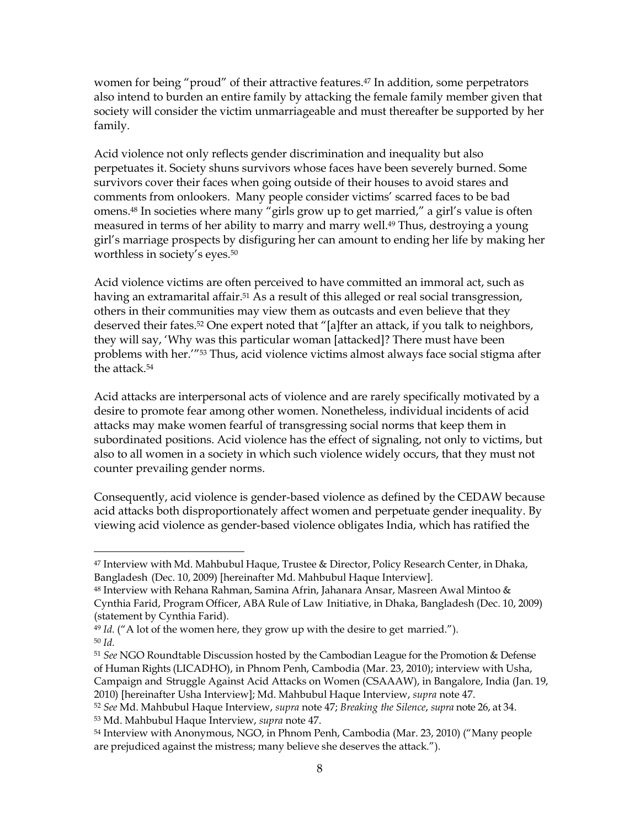women for being "proud" of their attractive features.<sup>47</sup> In addition, some perpetrators also intend to burden an entire family by attacking the female family member given that society will consider the victim unmarriageable and must thereafter be supported by her family.

Acid violence not only reflects gender discrimination and inequality but also perpetuates it. Society shuns survivors whose faces have been severely burned. Some survivors cover their faces when going outside of their houses to avoid stares and comments from onlookers. Many people consider victims' scarred faces to be bad omens.48 In societies where many "girls grow up to get married," a girl's value is often measured in terms of her ability to marry and marry well.49 Thus, destroying a young girl's marriage prospects by disfiguring her can amount to ending her life by making her worthless in society's eyes.50

Acid violence victims are often perceived to have committed an immoral act, such as having an extramarital affair.<sup>51</sup> As a result of this alleged or real social transgression, others in their communities may view them as outcasts and even believe that they deserved their fates.<sup>52</sup> One expert noted that "[a]fter an attack, if you talk to neighbors, they will say, 'Why was this particular woman [attacked]? There must have been problems with her.'"53 Thus, acid violence victims almost always face social stigma after the attack.54

Acid attacks are interpersonal acts of violence and are rarely specifically motivated by a desire to promote fear among other women. Nonetheless, individual incidents of acid attacks may make women fearful of transgressing social norms that keep them in subordinated positions. Acid violence has the effect of signaling, not only to victims, but also to all women in a society in which such violence widely occurs, that they must not counter prevailing gender norms.

Consequently, acid violence is gender-based violence as defined by the CEDAW because acid attacks both disproportionately affect women and perpetuate gender inequality. By viewing acid violence as gender-based violence obligates India, which has ratified the

<sup>53</sup> Md. Mahbubul Haque Interview, *supra* note 47.

 $47$  Interview with Md. Mahbubul Haque, Trustee & Director, Policy Research Center, in Dhaka, Bangladesh (Dec. 10, 2009) [hereinafter Md. Mahbubul Haque Interview].

<sup>48</sup> Interview with Rehana Rahman, Samina Afrin, Jahanara Ansar, Masreen Awal Mintoo & Cynthia Farid, Program Officer, ABA Rule of Law Initiative, in Dhaka, Bangladesh (Dec. 10, 2009) (statement by Cynthia Farid).

<sup>49</sup> *Id.* ("A lot of the women here, they grow up with the desire to get married."). <sup>50</sup> *Id.*

<sup>51</sup> *See* NGO Roundtable Discussion hosted by the Cambodian League for the Promotion & Defense of Human Rights (LICADHO), in Phnom Penh, Cambodia (Mar. 23, 2010); interview with Usha, Campaign and Struggle Against Acid Attacks on Women (CSAAAW), in Bangalore, India (Jan. 19, 2010) [hereinafter Usha Interview]; Md. Mahbubul Haque Interview, *supra* note 47.

<sup>52</sup> *See* Md. Mahbubul Haque Interview, *supra* note 47; *Breaking the Silence*, *supra* note 26, at 34.

<sup>54</sup> Interview with Anonymous, NGO, in Phnom Penh, Cambodia (Mar. 23, 2010) ("Many people are prejudiced against the mistress; many believe she deserves the attack.").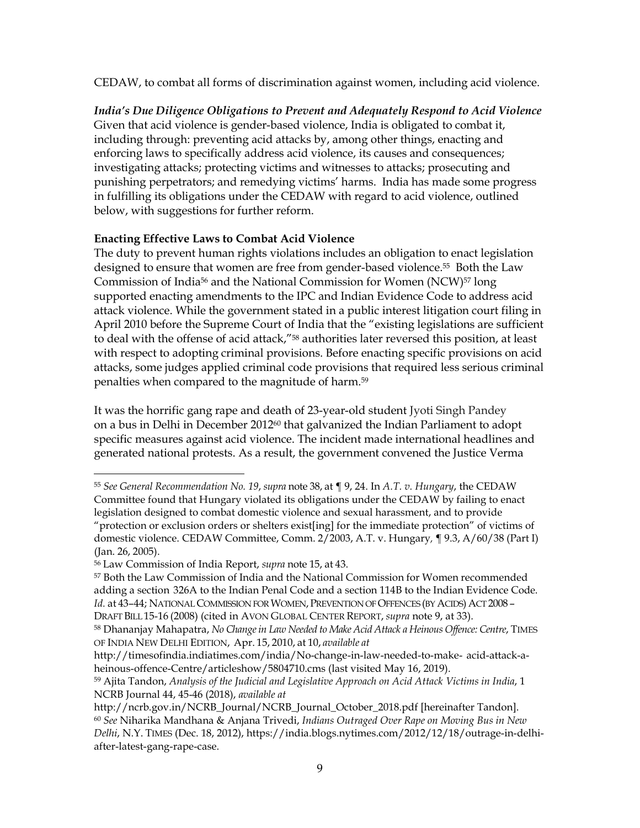CEDAW, to combat all forms of discrimination against women, including acid violence.

*India's Due Diligence Obligations to Prevent and Adequately Respond to Acid Violence* Given that acid violence is gender-based violence, India is obligated to combat it, including through: preventing acid attacks by, among other things, enacting and enforcing laws to specifically address acid violence, its causes and consequences; investigating attacks; protecting victims and witnesses to attacks; prosecuting and punishing perpetrators; and remedying victims' harms. India has made some progress in fulfilling its obligations under the CEDAW with regard to acid violence, outlined below, with suggestions for further reform.

# **Enacting Effective Laws to Combat Acid Violence**

The duty to prevent human rights violations includes an obligation to enact legislation designed to ensure that women are free from gender-based violence.<sup>55</sup> Both the Law Commission of India<sup>56</sup> and the National Commission for Women (NCW)<sup>57</sup> long supported enacting amendments to the IPC and Indian Evidence Code to address acid attack violence. While the government stated in a public interest litigation court filing in April 2010 before the Supreme Court of India that the "existing legislations are sufficient to deal with the offense of acid attack,"58 authorities later reversed this position, at least with respect to adopting criminal provisions. Before enacting specific provisions on acid attacks, some judges applied criminal code provisions that required less serious criminal penalties when compared to the magnitude of harm.59

It was the horrific gang rape and death of 23-year-old student Jyoti Singh Pandey on a bus in Delhi in December 201260 that galvanized the Indian Parliament to adopt specific measures against acid violence. The incident made international headlines and generated national protests. As a result, the government convened the Justice Verma

 $\overline{a}$ <sup>55</sup> *See General Recommendation No. 19*, *supra* note 38, at ¶ 9, 24. In *A.T. v. Hungary*, the CEDAW Committee found that Hungary violated its obligations under the CEDAW by failing to enact legislation designed to combat domestic violence and sexual harassment, and to provide "protection or exclusion orders or shelters exist[ing] for the immediate protection" of victims of domestic violence. CEDAW Committee, Comm. 2/2003, A.T. v. Hungary*,* ¶ 9.3, A/60/38 (Part I) (Jan. 26, 2005).

<sup>56</sup> Law Commission of India Report, *supra* note 15, at 43.

<sup>57</sup> Both the Law Commission of India and the National Commission for Women recommended adding a section 326A to the Indian Penal Code and a section 114B to the Indian Evidence Code. Id. at 43-44; NATIONAL COMMISSION FOR WOMEN, PREVENTION OF OFFENCES (BY ACIDS) ACT 2008 -DRAFT BILL 15-16 (2008) (cited in AVON GLOBAL CENTER REPORT, *supra* note 9, at 33).

<sup>58</sup> Dhananjay Mahapatra, *No Change in Law Needed to Make Acid Attack a Heinous Offence: Centre*, TIMES OF INDIA NEW DELHI EDITION, Apr. 15, 2010, at 10, *available at*

[http://timesofindia.indiatimes.com/india/No-change-in-law-needed-to-make-](http://timesofindia.indiatimes.com/india/No-change-in-law-needed-to-make-%20acid-attack-a-heinous-offence-Centre/articleshow/5804710.cms) acid-attack-a[heinous-offence-Centre/articleshow/5804710.cms](http://timesofindia.indiatimes.com/india/No-change-in-law-needed-to-make-%20acid-attack-a-heinous-offence-Centre/articleshow/5804710.cms) (last visited May 16, 2019).

<sup>59</sup> Ajita Tandon, *Analysis of the Judicial and Legislative Approach on Acid Attack Victims in India*, 1 NCRB Journal 44, 45-46 (2018), *available at*

http://ncrb.gov.in/NCRB\_Journal/NCRB\_Journal\_October\_2018.pdf [hereinafter Tandon]. <sup>60</sup> *See* Niharika Mandhana & Anjana Trivedi, *Indians Outraged Over Rape on Moving Bus in New Delhi*, N.Y. TIMES (Dec. 18, 2012), [https://india.blogs.nytimes.com/2012/12/18/outrage-in-delhi](https://india.blogs.nytimes.com/2012/12/18/outrage-in-delhi-after-latest-gang-rape-case)[after-latest-gang-rape-case.](https://india.blogs.nytimes.com/2012/12/18/outrage-in-delhi-after-latest-gang-rape-case)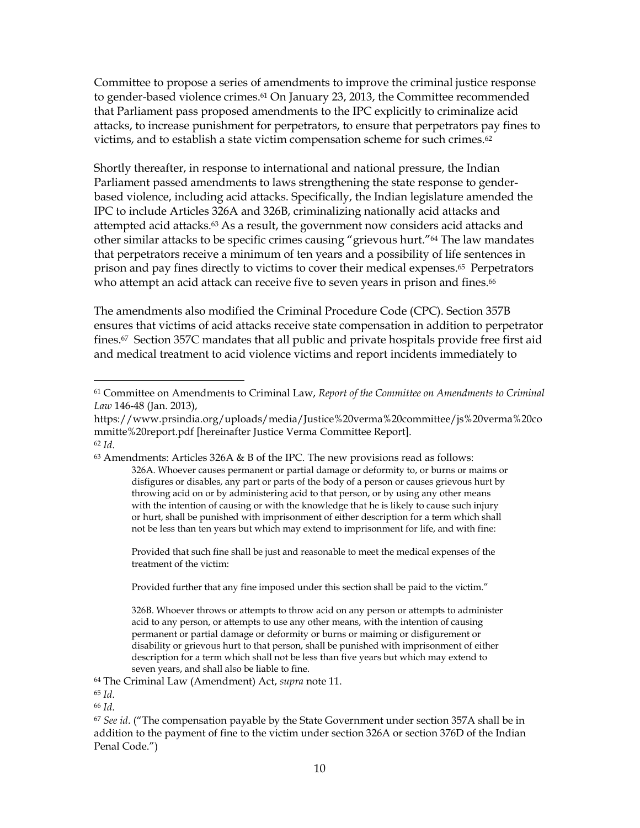Committee to propose a series of amendments to improve the criminal justice response to gender-based violence crimes.61 On January 23, 2013, the Committee recommended that Parliament pass proposed amendments to the IPC explicitly to criminalize acid attacks, to increase punishment for perpetrators, to ensure that perpetrators pay fines to victims, and to establish a state victim compensation scheme for such crimes.62

Shortly thereafter, in response to international and national pressure, the Indian Parliament passed amendments to laws strengthening the state response to genderbased violence, including acid attacks. Specifically, the Indian legislature amended the IPC to include Articles 326A and 326B, criminalizing nationally acid attacks and attempted acid attacks.63 As a result, the government now considers acid attacks and other similar attacks to be specific crimes causing "grievous hurt."64 The law mandates that perpetrators receive a minimum of ten years and a possibility of life sentences in prison and pay fines directly to victims to cover their medical expenses.65 Perpetrators who attempt an acid attack can receive five to seven years in prison and fines.<sup>66</sup>

The amendments also modified the Criminal Procedure Code (CPC). Section 357B ensures that victims of acid attacks receive state compensation in addition to perpetrator fines.67 Section 357C mandates that all public and private hospitals provide free first aid and medical treatment to acid violence victims and report incidents immediately to

 $63$  Amendments: Articles 326A & B of the IPC. The new provisions read as follows:

326A. Whoever causes permanent or partial damage or deformity to, or burns or maims or disfigures or disables, any part or parts of the body of a person or causes grievous hurt by throwing acid on or by administering acid to that person, or by using any other means with the intention of causing or with the knowledge that he is likely to cause such injury or hurt, shall be punished with imprisonment of either description for a term which shall not be less than ten years but which may extend to imprisonment for life, and with fine:

Provided that such fine shall be just and reasonable to meet the medical expenses of the treatment of the victim:

Provided further that any fine imposed under this section shall be paid to the victim."

<sup>64</sup> The Criminal Law (Amendment) Act, *supra* note 11.

<sup>65</sup> *Id*.

 $\overline{a}$ 

<sup>66</sup> *Id*.

<sup>61</sup> Committee on Amendments to Criminal Law, *Report of the Committee on Amendments to Criminal Law* 146-48 (Jan. 2013),

[https://www.prsindia.org/uploads/media/Justice%20verma%20committee/js%20verma%20co](https://www.prsindia.org/uploads/media/Justice%20verma%20committee/js%20verma%20committe%20report.pdf) [mmitte%20report.pdf](https://www.prsindia.org/uploads/media/Justice%20verma%20committee/js%20verma%20committe%20report.pdf) [hereinafter Justice Verma Committee Report]. <sup>62</sup> *Id*.

<sup>326</sup>B. Whoever throws or attempts to throw acid on any person or attempts to administer acid to any person, or attempts to use any other means, with the intention of causing permanent or partial damage or deformity or burns or maiming or disfigurement or disability or grievous hurt to that person, shall be punished with imprisonment of either description for a term which shall not be less than five years but which may extend to seven years, and shall also be liable to fine.

<sup>67</sup> *See id*. ("The compensation payable by the State Government under section 357A shall be in addition to the payment of fine to the victim under section 326A or section 376D of the Indian Penal Code.")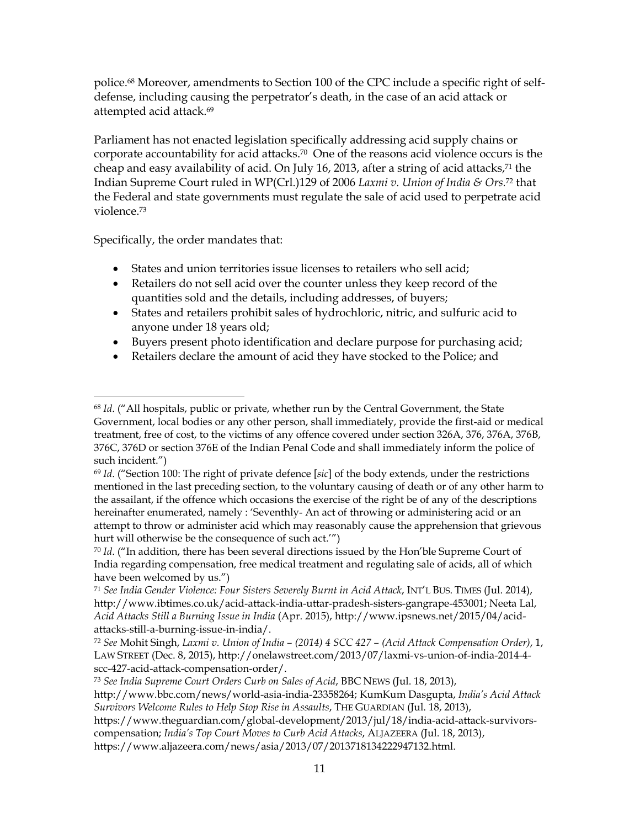police.<sup>68</sup> Moreover, amendments to Section 100 of the CPC include a specific right of selfdefense, including causing the perpetrator's death, in the case of an acid attack or attempted acid attack.<sup>69</sup>

Parliament has not enacted legislation specifically addressing acid supply chains or corporate accountability for acid attacks.70 One of the reasons acid violence occurs is the cheap and easy availability of acid. On July 16, 2013, after a string of acid attacks,<sup>71</sup> the Indian Supreme Court ruled in WP(Crl.)129 of 2006 *Laxmi v. Union of India & Ors.*<sup>72</sup> that the Federal and state governments must regulate the sale of acid used to perpetrate acid violence.73

Specifically, the order mandates that:

- States and union territories issue licenses to retailers who sell acid;
- Retailers do not sell acid over the counter unless they keep record of the quantities sold and the details, including addresses, of buyers;
- States and retailers prohibit sales of hydrochloric, nitric, and sulfuric acid to anyone under 18 years old;
- Buyers present photo identification and declare purpose for purchasing acid;
- Retailers declare the amount of acid they have stocked to the Police; and

<sup>68</sup> *Id*. ("All hospitals, public or private, whether run by the Central Government, the State Government, local bodies or any other person, shall immediately, provide the first-aid or medical treatment, free of cost, to the victims of any offence covered under section 326A, 376, 376A, 376B, 376C, 376D or section 376E of the Indian Penal Code and shall immediately inform the police of such incident.")

<sup>69</sup> *Id*. ("Section 100: The right of private defence [*sic*] of the body extends, under the restrictions mentioned in the last preceding section, to the voluntary causing of death or of any other harm to the assailant, if the offence which occasions the exercise of the right be of any of the descriptions hereinafter enumerated, namely : 'Seventhly- An act of throwing or administering acid or an attempt to throw or administer acid which may reasonably cause the apprehension that grievous hurt will otherwise be the consequence of such act.'")

<sup>70</sup> *Id*. ("In addition, there has been several directions issued by the Hon'ble Supreme Court of India regarding compensation, free medical treatment and regulating sale of acids, all of which have been welcomed by us.")

<sup>71</sup> *See India Gender Violence: Four Sisters Severely Burnt in Acid Attack*, INT'L BUS. TIMES (Jul. 2014), [http://www.ibtimes.co.uk/acid-attack-india-uttar-pradesh-sisters-gangrape-453001;](http://www.ibtimes.co.uk/acid-attack-india-uttar-pradesh-sisters-gangrape-453001) Neeta Lal, *Acid Attacks Still a Burning Issue in India* (Apr. 2015), [http://www.ipsnews.net/2015/04/acid](http://www.ipsnews.net/2015/04/acid-attacks-still-a-burning-issue-in-india/)[attacks-still-a-burning-issue-in-india/.](http://www.ipsnews.net/2015/04/acid-attacks-still-a-burning-issue-in-india/) 72 *See* Mohit Singh, *Laxmi v. Union of India – (2014) 4 SCC 427 – (Acid Attack Compensation Order)*, 1,

LAW STREET (Dec. 8, 2015)[, http://onelawstreet.com/2013/07/laxmi-vs-union-of-india-2014-4-](http://onelawstreet.com/2013/07/laxmi-vs-union-of-india-2014-4-scc-427-acid-attack-compensation-order/)

[scc-427-acid-attack-compensation-order/.](http://onelawstreet.com/2013/07/laxmi-vs-union-of-india-2014-4-scc-427-acid-attack-compensation-order/)<br><sup>73</sup> See India Supreme Court Orders Curb on Sales of Acid, BBC NEWS (Jul. 18, 2013),

[http://www.bbc.com/news/world-asia-india-23358264;](http://www.bbc.com/news/world-asia-india-23358264) KumKum Dasgupta, *India's Acid Attack Survivors Welcome Rules to Help Stop Rise in Assaults*, THE GUARDIAN (Jul. 18, 2013),

[https://www.theguardian.com/global-development/2013/jul/18/india-acid-attack-survivors](https://www.theguardian.com/global-development/2013/jul/18/india-acid-attack-survivors-compensation)[compensation;](https://www.theguardian.com/global-development/2013/jul/18/india-acid-attack-survivors-compensation) *India's Top Court Moves to Curb Acid Attacks*, ALJAZEERA (Jul. 18, 2013), [https://www.aljazeera.com/news/asia/2013/07/2013718134222947132.html.](https://www.aljazeera.com/news/asia/2013/07/2013718134222947132.html)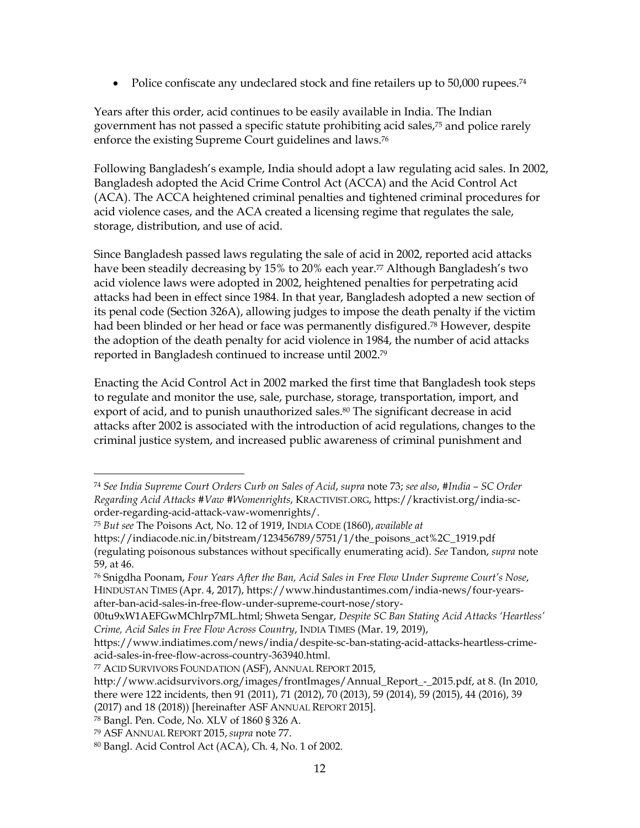• Police confiscate any undeclared stock and fine retailers up to 50,000 rupees.<sup>74</sup>

Years after this order, acid continues to be easily available in India. The Indian government has not passed a specific statute prohibiting acid sales,75 and police rarely enforce the existing Supreme Court guidelines and laws.76

Following Bangladesh's example, India should adopt a law regulating acid sales. In 2002, Bangladesh adopted the Acid Crime Control Act (ACCA) and the Acid Control Act (ACA). The ACCA heightened criminal penalties and tightened criminal procedures for acid violence cases, and the ACA created a licensing regime that regulates the sale, storage, distribution, and use of acid.

Since Bangladesh passed laws regulating the sale of acid in 2002, reported acid attacks have been steadily decreasing by 15% to 20% each year.<sup>77</sup> Although Bangladesh's two acid violence laws were adopted in 2002, heightened penalties for perpetrating acid attacks had been in effect since 1984. In that year, Bangladesh adopted a new section of its penal code (Section 326A), allowing judges to impose the death penalty if the victim had been blinded or her head or face was permanently disfigured.78 However, despite the adoption of the death penalty for acid violence in 1984, the number of acid attacks reported in Bangladesh continued to increase until 2002.79

Enacting the Acid Control Act in 2002 marked the first time that Bangladesh took steps to regulate and monitor the use, sale, purchase, storage, transportation, import, and export of acid, and to punish unauthorized sales.<sup>80</sup> The significant decrease in acid attacks after 2002 is associated with the introduction of acid regulations, changes to the criminal justice system, and increased public awareness of criminal punishment and

<sup>74</sup> *See India Supreme Court Orders Curb on Sales of Acid*, *supra* note 73; *see also*, *#India – SC Order Regarding Acid Attacks #Vaw #Womenrights*, KRACTIVIST.ORG, [https://kractivist.org/india-sc](https://kractivist.org/india-sc-order-regarding-acid-attack-vaw-womenrights/)[order-regarding-acid-attack-vaw-womenrights/.](https://kractivist.org/india-sc-order-regarding-acid-attack-vaw-womenrights/)

<sup>75</sup> *But see* The Poisons Act, No. 12 of 1919, INDIA CODE (1860), *available at* 

[https://indiacode.nic.in/bitstream/123456789/5751/1/the\\_poisons\\_act%2C\\_1919.pdf](https://indiacode.nic.in/bitstream/123456789/5751/1/the_poisons_act%2C_1919.pdf) (regulating poisonous substances without specifically enumerating acid). *See* Tandon, *supra* note 59, at 46.

<sup>76</sup> Snigdha Poonam, *Four Years After the Ban, Acid Sales in Free Flow Under Supreme Court's Nose*, HINDUSTAN TIMES (Apr. 4, 2017), [https://www.hindustantimes.com/india-news/four-years](https://www.hindustantimes.com/india-news/four-years-after-ban-acid-sales-in-free-flow-under-supreme-court-nose/story-00tu9xW1AEFGwMChlrp7ML.html)[after-ban-acid-sales-in-free-flow-under-supreme-court-nose/story-](https://www.hindustantimes.com/india-news/four-years-after-ban-acid-sales-in-free-flow-under-supreme-court-nose/story-00tu9xW1AEFGwMChlrp7ML.html)

[<sup>00</sup>tu9xW1AEFGwMChlrp7ML.html;](https://www.hindustantimes.com/india-news/four-years-after-ban-acid-sales-in-free-flow-under-supreme-court-nose/story-00tu9xW1AEFGwMChlrp7ML.html) Shweta Sengar, *Despite SC Ban Stating Acid Attacks 'Heartless' Crime, Acid Sales in Free Flow Across Country*, INDIA TIMES (Mar. 19, 2019),

[https://www.indiatimes.com/news/india/despite-sc-ban-stating-acid-attacks-heartless-crime](https://www.indiatimes.com/news/india/despite-sc-ban-stating-acid-attacks-heartless-crime-acid-sales-in-free-flow-across-country-363940.html)[acid-sales-in-free-flow-across-country-363940.html.](https://www.indiatimes.com/news/india/despite-sc-ban-stating-acid-attacks-heartless-crime-acid-sales-in-free-flow-across-country-363940.html)

<sup>77</sup> ACID SURVIVORS FOUNDATION (ASF), ANNUAL REPORT 2015,

[http://www.acidsurvivors.org/images/frontImages/Annual\\_Report\\_-\\_2015.pdf,](http://www.acidsurvivors.org/images/frontImages/Annual_Report_-_2015.pdf) at 8. (In 2010, there were 122 incidents, then 91 (2011), 71 (2012), 70 (2013), 59 (2014), 59 (2015), 44 (2016), 39 (2017) and 18 (2018)) [hereinafter ASF ANNUAL REPORT 2015].

<sup>78</sup> Bangl. Pen. Code, No. XLV of 1860 § 326 A.

<sup>79</sup> ASF ANNUAL REPORT 2015, *supra* note 77.

<sup>80</sup> Bangl. Acid Control Act (ACA), Ch. 4, No. 1 of 2002.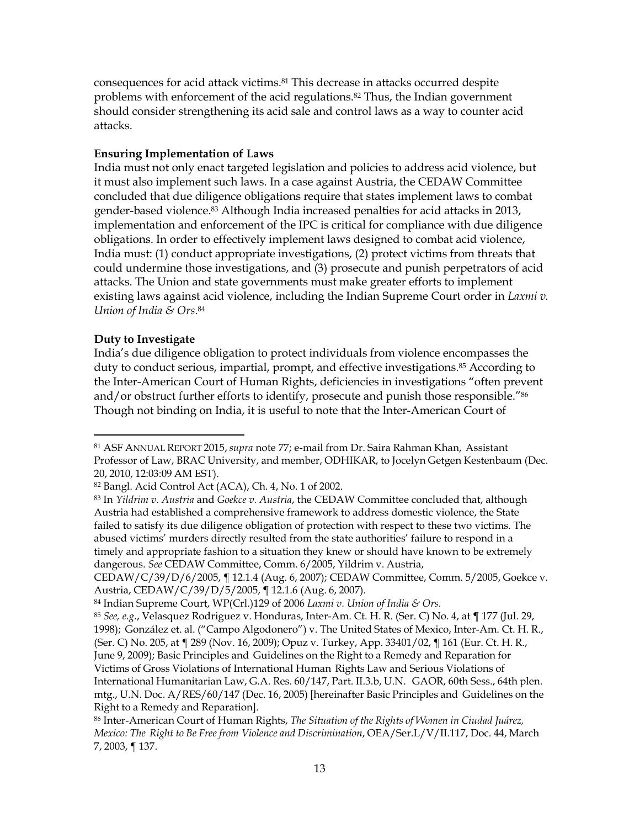consequences for acid attack victims.81 This decrease in attacks occurred despite problems with enforcement of the acid regulations.<sup>82</sup> Thus, the Indian government should consider strengthening its acid sale and control laws as a way to counter acid attacks.

### **Ensuring Implementation of Laws**

India must not only enact targeted legislation and policies to address acid violence, but it must also implement such laws. In a case against Austria, the CEDAW Committee concluded that due diligence obligations require that states implement laws to combat gender-based violence.83 Although India increased penalties for acid attacks in 2013, implementation and enforcement of the IPC is critical for compliance with due diligence obligations. In order to effectively implement laws designed to combat acid violence, India must: (1) conduct appropriate investigations, (2) protect victims from threats that could undermine those investigations, and (3) prosecute and punish perpetrators of acid attacks. The Union and state governments must make greater efforts to implement existing laws against acid violence, including the Indian Supreme Court order in *Laxmi v. Union of India & Ors*.84

## **Duty to Investigate**

 $\overline{a}$ 

India's due diligence obligation to protect individuals from violence encompasses the duty to conduct serious, impartial, prompt, and effective investigations.<sup>85</sup> According to the Inter-American Court of Human Rights, deficiencies in investigations "often prevent and/or obstruct further efforts to identify, prosecute and punish those responsible."<sup>86</sup> Though not binding on India, it is useful to note that the Inter-American Court of

<sup>81</sup> ASF ANNUAL REPORT 2015, *supra* note 77; e-mail from Dr. Saira Rahman Khan, Assistant Professor of Law, BRAC University, and member, ODHIKAR, to Jocelyn Getgen Kestenbaum (Dec. 20, 2010, 12:03:09 AM EST).

<sup>82</sup> Bangl. Acid Control Act (ACA), Ch. 4, No. 1 of 2002.

<sup>83</sup> In *Yildrim v. Austria* and *Goekce v. Austria*, the CEDAW Committee concluded that, although Austria had established a comprehensive framework to address domestic violence, the State failed to satisfy its due diligence obligation of protection with respect to these two victims. The abused victims' murders directly resulted from the state authorities' failure to respond in a timely and appropriate fashion to a situation they knew or should have known to be extremely dangerous. *See* CEDAW Committee, Comm. 6/2005, Yildrim v. Austria,

CEDAW/C/39/D/6/2005, ¶ 12.1.4 (Aug. 6, 2007); CEDAW Committee, Comm. 5/2005, Goekce v. Austria, CEDAW/C/39/D/5/2005, ¶ 12.1.6 (Aug. 6, 2007).

<sup>84</sup> Indian Supreme Court, WP(Crl.)129 of 2006 *Laxmi v. Union of India & Ors.*

<sup>85</sup> *See, e.g.*, Velasquez Rodriguez v. Honduras, Inter-Am. Ct. H. R. (Ser. C) No. 4, at ¶ 177 (Jul. 29, 1998); González et. al. ("Campo Algodonero") v. The United States of Mexico, Inter-Am. Ct. H. R., (Ser. C) No. 205, at ¶ 289 (Nov. 16, 2009); Opuz v. Turkey, App. 33401/02, ¶ 161 (Eur. Ct. H. R., June 9, 2009); Basic Principles and Guidelines on the Right to a Remedy and Reparation for Victims of Gross Violations of International Human Rights Law and Serious Violations of International Humanitarian Law, G.A. Res. 60/147, Part. II.3.b, U.N. GAOR, 60th Sess., 64th plen. mtg., U.N. Doc. A/RES/60/147 (Dec. 16, 2005) [hereinafter Basic Principles and Guidelines on the Right to a Remedy and Reparation].

<sup>86</sup> Inter-American Court of Human Rights, *The Situation of the Rights of Women in Ciudad Juárez, Mexico: The Right to Be Free from Violence and Discrimination*, OEA/Ser.L/V/II.117, Doc. 44, March 7, 2003, ¶ 137.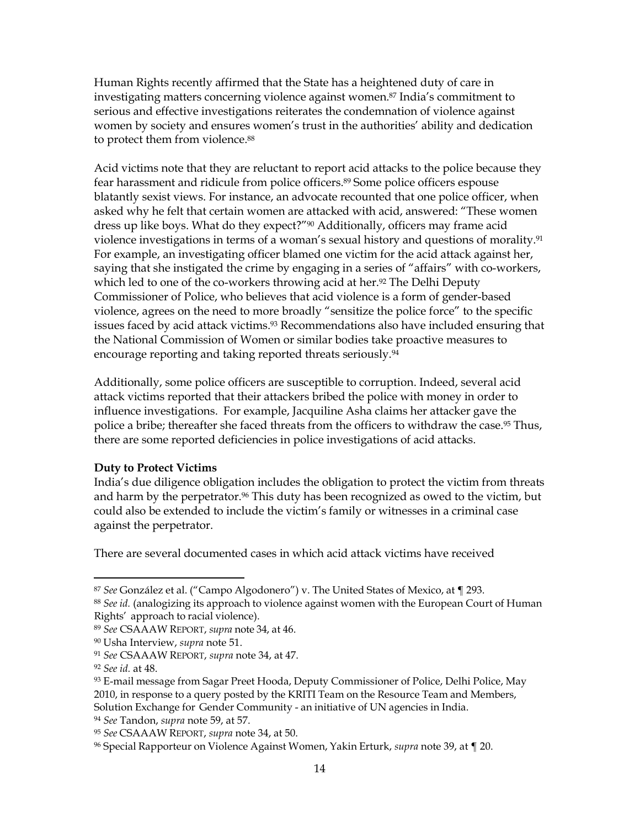Human Rights recently affirmed that the State has a heightened duty of care in investigating matters concerning violence against women.<sup>87</sup> India's commitment to serious and effective investigations reiterates the condemnation of violence against women by society and ensures women's trust in the authorities' ability and dedication to protect them from violence.<sup>88</sup>

Acid victims note that they are reluctant to report acid attacks to the police because they fear harassment and ridicule from police officers.89 Some police officers espouse blatantly sexist views. For instance, an advocate recounted that one police officer, when asked why he felt that certain women are attacked with acid, answered: "These women dress up like boys. What do they expect?"<sup>90</sup> Additionally, officers may frame acid violence investigations in terms of a woman's sexual history and questions of morality.91 For example, an investigating officer blamed one victim for the acid attack against her, saying that she instigated the crime by engaging in a series of "affairs" with co-workers, which led to one of the co-workers throwing acid at her.<sup>92</sup> The Delhi Deputy Commissioner of Police, who believes that acid violence is a form of gender-based violence, agrees on the need to more broadly "sensitize the police force" to the specific issues faced by acid attack victims.<sup>93</sup> Recommendations also have included ensuring that the National Commission of Women or similar bodies take proactive measures to encourage reporting and taking reported threats seriously.94

Additionally, some police officers are susceptible to corruption. Indeed, several acid attack victims reported that their attackers bribed the police with money in order to influence investigations. For example, Jacquiline Asha claims her attacker gave the police a bribe; thereafter she faced threats from the officers to withdraw the case.<sup>95</sup> Thus, there are some reported deficiencies in police investigations of acid attacks.

#### **Duty to Protect Victims**

India's due diligence obligation includes the obligation to protect the victim from threats and harm by the perpetrator.<sup>96</sup> This duty has been recognized as owed to the victim, but could also be extended to include the victim's family or witnesses in a criminal case against the perpetrator.

There are several documented cases in which acid attack victims have received

<sup>87</sup> *See* González et al. ("Campo Algodonero") v. The United States of Mexico, at ¶ 293.

<sup>88</sup> *See id.* (analogizing its approach to violence against women with the European Court of Human Rights' approach to racial violence).

<sup>89</sup> *See* CSAAAW REPORT, *supra* note 34, at 46.

<sup>90</sup> Usha Interview, *supra* note 51.

<sup>91</sup> *See* CSAAAW REPORT, *supra* note 34, at 47.

<sup>92</sup> *See id.* at 48.

<sup>93</sup> E-mail message from Sagar Preet Hooda, Deputy Commissioner of Police, Delhi Police, May

<sup>2010,</sup> in response to a query posted by the KRITI Team on the Resource Team and Members,

Solution Exchange for Gender Community - an initiative of UN agencies in India. <sup>94</sup> *See* Tandon, *supra* note 59, at 57.

<sup>95</sup> *See* CSAAAW REPORT, *supra* note 34, at 50.

<sup>96</sup> Special Rapporteur on Violence Against Women, Yakin Erturk, *supra* note 39, at ¶ 20.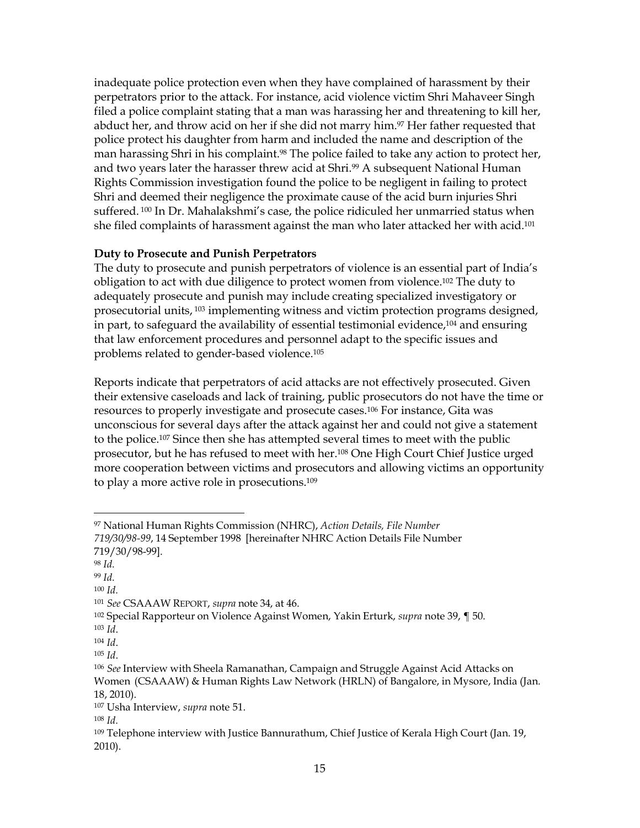inadequate police protection even when they have complained of harassment by their perpetrators prior to the attack. For instance, acid violence victim Shri Mahaveer Singh filed a police complaint stating that a man was harassing her and threatening to kill her, abduct her, and throw acid on her if she did not marry him.<sup>97</sup> Her father requested that police protect his daughter from harm and included the name and description of the man harassing Shri in his complaint.<sup>98</sup> The police failed to take any action to protect her, and two years later the harasser threw acid at Shri.<sup>99</sup> A subsequent National Human Rights Commission investigation found the police to be negligent in failing to protect Shri and deemed their negligence the proximate cause of the acid burn injuries Shri suffered. 100 In Dr. Mahalakshmi's case, the police ridiculed her unmarried status when she filed complaints of harassment against the man who later attacked her with acid.<sup>101</sup>

## **Duty to Prosecute and Punish Perpetrators**

The duty to prosecute and punish perpetrators of violence is an essential part of India's obligation to act with due diligence to protect women from violence.102 The duty to adequately prosecute and punish may include creating specialized investigatory or prosecutorial units, <sup>103</sup> implementing witness and victim protection programs designed, in part, to safeguard the availability of essential testimonial evidence, $104$  and ensuring that law enforcement procedures and personnel adapt to the specific issues and problems related to gender-based violence.105

Reports indicate that perpetrators of acid attacks are not effectively prosecuted. Given their extensive caseloads and lack of training, public prosecutors do not have the time or resources to properly investigate and prosecute cases.106 For instance, Gita was unconscious for several days after the attack against her and could not give a statement to the police.107 Since then she has attempted several times to meet with the public prosecutor, but he has refused to meet with her.108 One High Court Chief Justice urged more cooperation between victims and prosecutors and allowing victims an opportunity to play a more active role in prosecutions.109

<sup>97</sup> National Human Rights Commission (NHRC), *Action Details, File Number*

*<sup>719/30/98-99</sup>*, 14 September 1998 [hereinafter NHRC Action Details File Number 719/30/98-99].

<sup>98</sup> *Id.* 

<sup>99</sup> *Id.*

<sup>100</sup> *Id.*

<sup>101</sup> *See* CSAAAW REPORT, *supra* note 34, at 46.

<sup>102</sup> Special Rapporteur on Violence Against Women, Yakin Erturk, *supra* note 39, ¶ 50.

<sup>103</sup> *Id*.

<sup>104</sup> *Id*.

<sup>105</sup> *Id*.

<sup>106</sup> *See* Interview with Sheela Ramanathan, Campaign and Struggle Against Acid Attacks on Women (CSAAAW) & Human Rights Law Network (HRLN) of Bangalore, in Mysore, India (Jan. 18, 2010).

<sup>107</sup> Usha Interview, *supra* note 51.

<sup>108</sup> *Id.*

<sup>&</sup>lt;sup>109</sup> Telephone interview with Justice Bannurathum, Chief Justice of Kerala High Court (Jan. 19, 2010).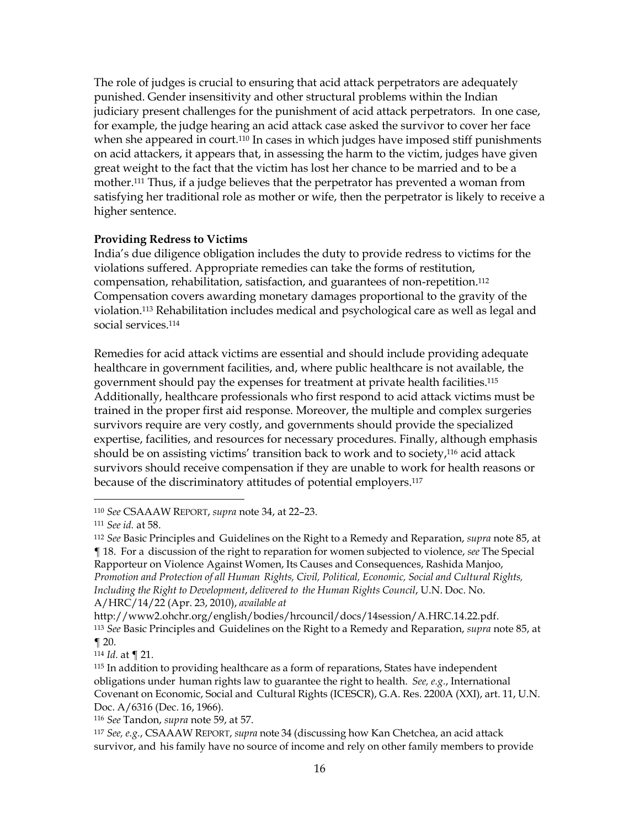The role of judges is crucial to ensuring that acid attack perpetrators are adequately punished. Gender insensitivity and other structural problems within the Indian judiciary present challenges for the punishment of acid attack perpetrators. In one case, for example, the judge hearing an acid attack case asked the survivor to cover her face when she appeared in court.<sup>110</sup> In cases in which judges have imposed stiff punishments on acid attackers, it appears that, in assessing the harm to the victim, judges have given great weight to the fact that the victim has lost her chance to be married and to be a mother.111 Thus, if a judge believes that the perpetrator has prevented a woman from satisfying her traditional role as mother or wife, then the perpetrator is likely to receive a higher sentence.

#### **Providing Redress to Victims**

India's due diligence obligation includes the duty to provide redress to victims for the violations suffered. Appropriate remedies can take the forms of restitution, compensation, rehabilitation, satisfaction, and guarantees of non-repetition.112 Compensation covers awarding monetary damages proportional to the gravity of the violation.113 Rehabilitation includes medical and psychological care as well as legal and social services.<sup>114</sup>

Remedies for acid attack victims are essential and should include providing adequate healthcare in government facilities, and, where public healthcare is not available, the government should pay the expenses for treatment at private health facilities.115 Additionally, healthcare professionals who first respond to acid attack victims must be trained in the proper first aid response. Moreover, the multiple and complex surgeries survivors require are very costly, and governments should provide the specialized expertise, facilities, and resources for necessary procedures. Finally, although emphasis should be on assisting victims' transition back to work and to society,116 acid attack survivors should receive compensation if they are unable to work for health reasons or because of the discriminatory attitudes of potential employers.<sup>117</sup>

<sup>110</sup> *See* CSAAAW REPORT, *supra* note 34, at 22–23.

<sup>111</sup> *See id.* at 58.

<sup>112</sup> *See* Basic Principles and Guidelines on the Right to a Remedy and Reparation, *supra* note 85, at ¶ 18. For a discussion of the right to reparation for women subjected to violence, *see* The Special Rapporteur on Violence Against Women, Its Causes and Consequences, Rashida Manjoo, *Promotion and Protection of all Human Rights, Civil, Political, Economic, Social and Cultural Rights, Including the Right to Development*, *delivered to the Human Rights Council*, U.N. Doc. No. A/HRC/14/22 (Apr. 23, 2010), *available at*

[http://www2.ohchr.org/english/bodies/hrcouncil/docs/14session/A.HRC.14.22.pdf.](http://www2.ohchr.org/english/bodies/hrcouncil/docs/14session/A.HRC.14.22.pdf) <sup>113</sup> *See* Basic Principles and Guidelines on the Right to a Remedy and Reparation, *supra* note 85, at ¶ 20.

<sup>114</sup> *Id.* at ¶ 21.

<sup>115</sup> In addition to providing healthcare as a form of reparations, States have independent obligations under human rights law to guarantee the right to health. *See, e.g.*, International Covenant on Economic, Social and Cultural Rights (ICESCR), G.A. Res. 2200A (XXI), art. 11, U.N. Doc. A/6316 (Dec. 16, 1966).

<sup>116</sup> *See* Tandon, *supra* note 59, at 57.

<sup>117</sup> *See, e.g.*, CSAAAW REPORT, *supra* note 34 (discussing how Kan Chetchea, an acid attack survivor, and his family have no source of income and rely on other family members to provide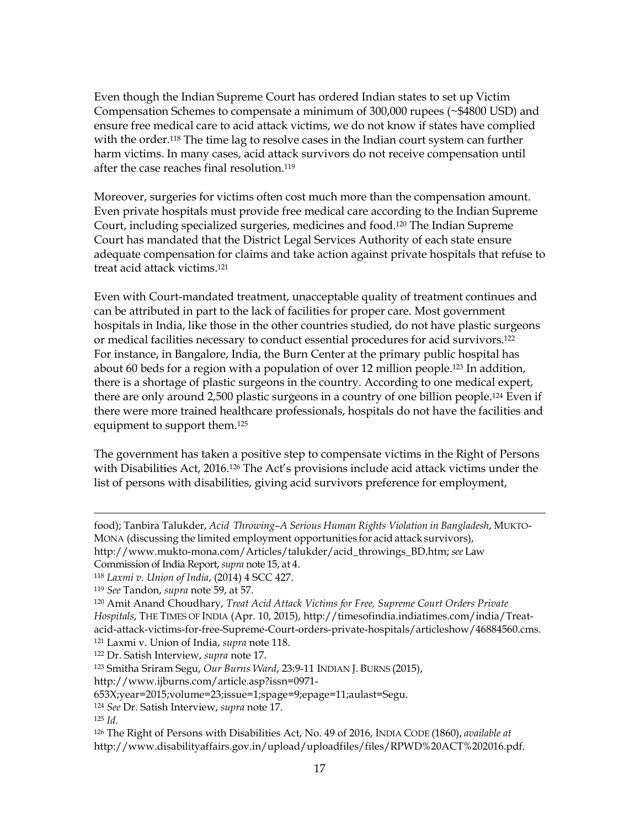Even though the Indian Supreme Court has ordered Indian states to set up Victim Compensation Schemes to compensate a minimum of 300,000 rupees (~\$4800 USD) and ensure free medical care to acid attack victims, we do not know if states have complied with the order.<sup>118</sup> The time lag to resolve cases in the Indian court system can further harm victims. In many cases, acid attack survivors do not receive compensation until after the case reaches final resolution.119

Moreover, surgeries for victims often cost much more than the compensation amount. Even private hospitals must provide free medical care according to the Indian Supreme Court, including specialized surgeries, medicines and food.120 The Indian Supreme Court has mandated that the District Legal Services Authority of each state ensure adequate compensation for claims and take action against private hospitals that refuse to treat acid attack victims.121

Even with Court-mandated treatment, unacceptable quality of treatment continues and can be attributed in part to the lack of facilities for proper care. Most government hospitals in India, like those in the other countries studied, do not have plastic surgeons or medical facilities necessary to conduct essential procedures for acid survivors.122 For instance, in Bangalore, India, the Burn Center at the primary public hospital has about 60 beds for a region with a population of over 12 million people.123 In addition, there is a shortage of plastic surgeons in the country. According to one medical expert, there are only around 2,500 plastic surgeons in a country of one billion people.124 Even if there were more trained healthcare professionals, hospitals do not have the facilities and equipment to support them.125

The government has taken a positive step to compensate victims in the Right of Persons with Disabilities Act, 2016.126 The Act's provisions include acid attack victims under the list of persons with disabilities, giving acid survivors preference for employment,

food); Tanbira Talukder, *Acid Throwing–A Serious Human Rights Violation in Bangladesh*, MUKTO-MONA (discussing the limited employment opportunities for acid attack survivors),

[http://www.mukto-mona.com/Articles/talukder/acid\\_throwings\\_BD.htm;](http://www.mukto-mona.com/Articles/talukder/acid_throwings_BD.htm) *see* Law

Commission of India Report, *supra* note 15, at 4.

<sup>118</sup> *Laxmi v. Union of India*, (2014) 4 SCC 427.

<sup>119</sup> *See* Tandon, *supra* note 59, at 57.

<sup>120</sup> Amit Anand Choudhary, *Treat Acid Attack Victims for Free, Supreme Court Orders Private Hospitals*, THE TIMES OF INDIA (Apr. 10, 2015), [http://timesofindia.indiatimes.com/india/Treat](http://timesofindia.indiatimes.com/india/Treat-acid-attack-victims-for-free-Supreme-Court-orders-private-hospitals/articleshow/46884560.cms)[acid-attack-victims-for-free-Supreme-Court-orders-private-hospitals/articleshow/46884560.cms.](http://timesofindia.indiatimes.com/india/Treat-acid-attack-victims-for-free-Supreme-Court-orders-private-hospitals/articleshow/46884560.cms)

<sup>121</sup> Laxmi v. Union of India, *supra* note 118. 122 Dr. Satish Interview, *supra* note 17.

<sup>123</sup> Smitha Sriram Segu, *Our Burns Ward*, 23:9-11 INDIAN J. BURNS (2015),

[http://www.ijburns.com/article.asp?issn=0971-](http://www.ijburns.com/article.asp?issn=0971-653X;year=2015;volume=23;issue=1;spage=9;epage=11;aulast=Segu)

[<sup>653</sup>X;year=2015;volume=23;issue=1;spage=9;epage=11;aulast=Segu.](http://www.ijburns.com/article.asp?issn=0971-653X;year=2015;volume=23;issue=1;spage=9;epage=11;aulast=Segu)

<sup>124</sup> *See* Dr. Satish Interview, *supra* note 17.

<sup>125</sup> *Id.*

<sup>126</sup> The Right of Persons with Disabilities Act, No. 49 of 2016, INDIA CODE (1860), *available at*  [http://www.disabilityaffairs.gov.in/upload/uploadfiles/files/RPWD%20ACT%202016.pdf.](http://www.disabilityaffairs.gov.in/upload/uploadfiles/files/RPWD%20ACT%202016.pdf)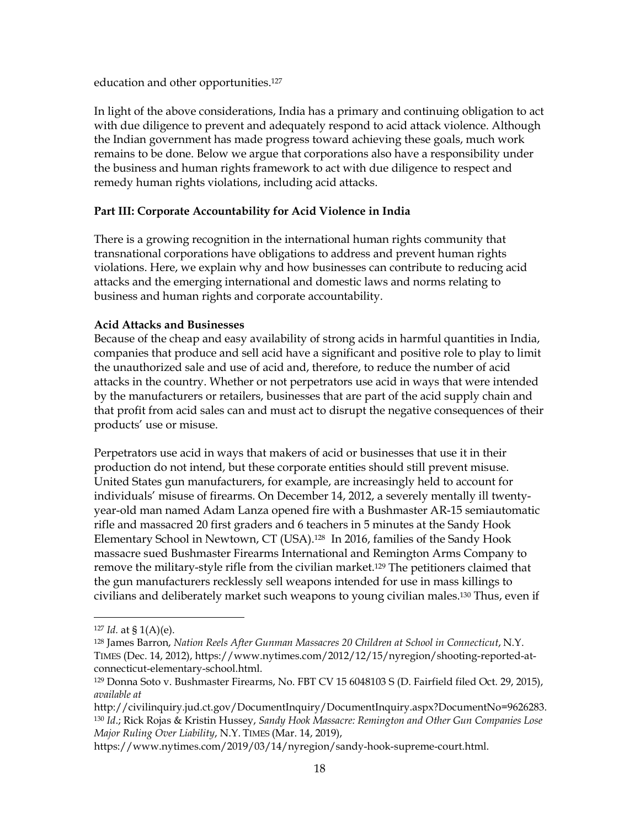education and other opportunities.127

In light of the above considerations, India has a primary and continuing obligation to act with due diligence to prevent and adequately respond to acid attack violence. Although the Indian government has made progress toward achieving these goals, much work remains to be done. Below we argue that corporations also have a responsibility under the business and human rights framework to act with due diligence to respect and remedy human rights violations, including acid attacks.

## **Part III: Corporate Accountability for Acid Violence in India**

There is a growing recognition in the international human rights community that transnational corporations have obligations to address and prevent human rights violations. Here, we explain why and how businesses can contribute to reducing acid attacks and the emerging international and domestic laws and norms relating to business and human rights and corporate accountability.

## **Acid Attacks and Businesses**

Because of the cheap and easy availability of strong acids in harmful quantities in India, companies that produce and sell acid have a significant and positive role to play to limit the unauthorized sale and use of acid and, therefore, to reduce the number of acid attacks in the country. Whether or not perpetrators use acid in ways that were intended by the manufacturers or retailers, businesses that are part of the acid supply chain and that profit from acid sales can and must act to disrupt the negative consequences of their products' use or misuse.

Perpetrators use acid in ways that makers of acid or businesses that use it in their production do not intend, but these corporate entities should still prevent misuse. United States gun manufacturers, for example, are increasingly held to account for individuals' misuse of firearms. On December 14, 2012, a severely mentally ill twentyyear-old man named Adam Lanza opened fire with a Bushmaster AR-15 semiautomatic rifle and massacred 20 first graders and 6 teachers in 5 minutes at the Sandy Hook Elementary School in Newtown, CT (USA).128 In 2016, families of the Sandy Hook massacre sued Bushmaster Firearms International and Remington Arms Company to remove the military-style rifle from the civilian market.<sup>129</sup> The petitioners claimed that the gun manufacturers recklessly sell weapons intended for use in mass killings to civilians and deliberately market such weapons to young civilian males.130 Thus, even if

<sup>127</sup> *Id.* at § 1(A)(e).

<sup>128</sup> James Barron, *Nation Reels After Gunman Massacres 20 Children at School in Connecticut*, N.Y. TIMES (Dec. 14, 2012)[, https://www.nytimes.com/2012/12/15/nyregion/shooting-reported-at](https://www.nytimes.com/2012/12/15/nyregion/shooting-reported-at-connecticut-elementary-school.html)[connecticut-elementary-school.html.](https://www.nytimes.com/2012/12/15/nyregion/shooting-reported-at-connecticut-elementary-school.html)

<sup>129</sup> Donna Soto v. Bushmaster Firearms, No. FBT CV 15 6048103 S (D. Fairfield filed Oct. 29, 2015), *available at*

[http://civilinquiry.jud.ct.gov/DocumentInquiry/DocumentInquiry.aspx?DocumentNo=9626283.](http://civilinquiry.jud.ct.gov/DocumentInquiry/DocumentInquiry.aspx?DocumentNo=9626283) <sup>130</sup> *Id*.; Rick Rojas & Kristin Hussey, *Sandy Hook Massacre: Remington and Other Gun Companies Lose Major Ruling Over Liability*, N.Y. TIMES (Mar. 14, 2019),

[https://www.nytimes.com/2019/03/14/nyregion/sandy-hook-supreme-court.html.](https://www.nytimes.com/2019/03/14/nyregion/sandy-hook-supreme-court.html)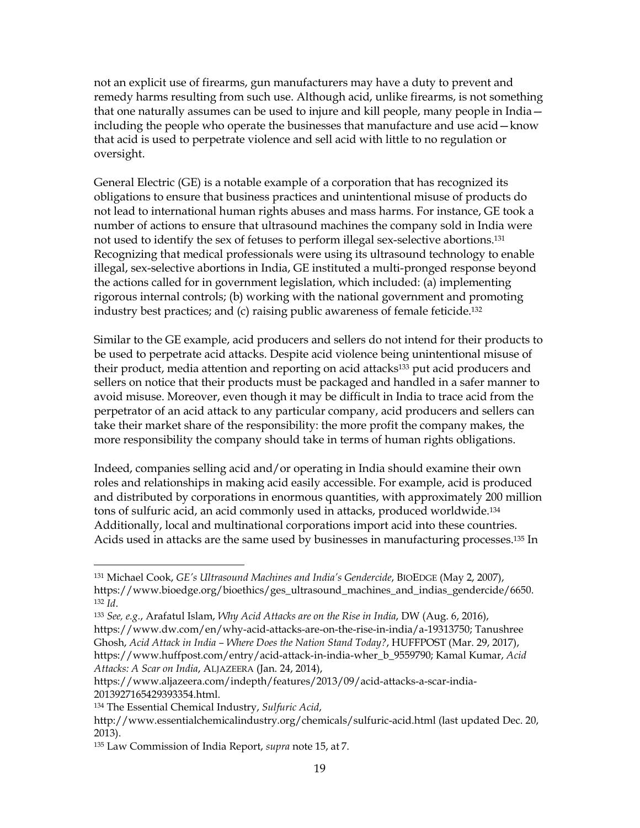not an explicit use of firearms, gun manufacturers may have a duty to prevent and remedy harms resulting from such use. Although acid, unlike firearms, is not something that one naturally assumes can be used to injure and kill people, many people in India including the people who operate the businesses that manufacture and use acid—know that acid is used to perpetrate violence and sell acid with little to no regulation or oversight.

General Electric (GE) is a notable example of a corporation that has recognized its obligations to ensure that business practices and unintentional misuse of products do not lead to international human rights abuses and mass harms. For instance, GE took a number of actions to ensure that ultrasound machines the company sold in India were not used to identify the sex of fetuses to perform illegal sex-selective abortions.<sup>131</sup> Recognizing that medical professionals were using its ultrasound technology to enable illegal, sex-selective abortions in India, GE instituted a multi-pronged response beyond the actions called for in government legislation, which included: (a) implementing rigorous internal controls; (b) working with the national government and promoting industry best practices; and (c) raising public awareness of female feticide.132

Similar to the GE example, acid producers and sellers do not intend for their products to be used to perpetrate acid attacks. Despite acid violence being unintentional misuse of their product, media attention and reporting on acid attacks133 put acid producers and sellers on notice that their products must be packaged and handled in a safer manner to avoid misuse. Moreover, even though it may be difficult in India to trace acid from the perpetrator of an acid attack to any particular company, acid producers and sellers can take their market share of the responsibility: the more profit the company makes, the more responsibility the company should take in terms of human rights obligations.

Indeed, companies selling acid and/or operating in India should examine their own roles and relationships in making acid easily accessible. For example, acid is produced and distributed by corporations in enormous quantities, with approximately 200 million tons of sulfuric acid, an acid commonly used in attacks, produced worldwide.<sup>134</sup> Additionally, local and multinational corporations import acid into these countries. Acids used in attacks are the same used by businesses in manufacturing processes.135 In

<sup>131</sup> Michael Cook, *GE's Ultrasound Machines and India's Gendercide*, BIOEDGE (May 2, 2007), [https://www.bioedge.org/bioethics/ges\\_ultrasound\\_machines\\_and\\_indias\\_gendercide/6650.](https://www.bioedge.org/bioethics/ges_ultrasound_machines_and_indias_gendercide/6650) <sup>132</sup> *Id*.

<sup>133</sup> *See, e.g.*, Arafatul Islam, *Why Acid Attacks are on the Rise in India*, DW (Aug. 6, 2016), [https://www.dw.com/en/why-acid-attacks-are-on-the-rise-in-india/a-19313750;](https://www.dw.com/en/why-acid-attacks-are-on-the-rise-in-india/a-19313750) Tanushree Ghosh, *Acid Attack in India – Where Does the Nation Stand Today?*, HUFFPOST (Mar. 29, 2017), [https://www.huffpost.com/entry/acid-attack-in-india-wher\\_b\\_9559790;](https://www.huffpost.com/entry/acid-attack-in-india-wher_b_9559790) Kamal Kumar, *Acid Attacks: A Scar on India*, ALJAZEERA (Jan. 24, 2014),

[https://www.aljazeera.com/indepth/features/2013/09/acid-attacks-a-scar-india-](https://www.aljazeera.com/indepth/features/2013/09/acid-attacks-a-scar-india-2013927165429393354.html)[2013927165429393354.html.](https://www.aljazeera.com/indepth/features/2013/09/acid-attacks-a-scar-india-2013927165429393354.html)

<sup>134</sup> The Essential Chemical Industry, *Sulfuric Acid*,

<http://www.essentialchemicalindustry.org/chemicals/sulfuric-acid.html> (last updated Dec. 20, 2013).

<sup>135</sup> Law Commission of India Report, *supra* note 15, at 7.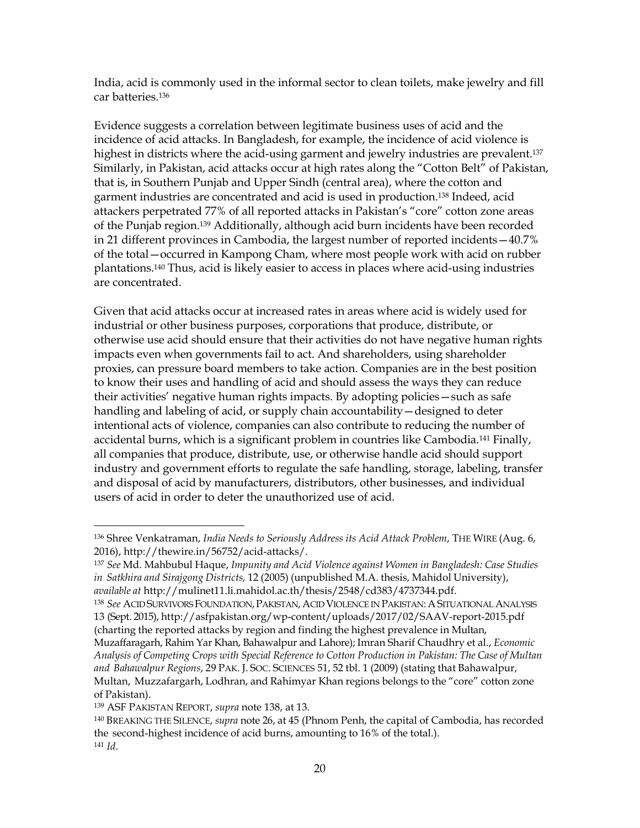India, acid is commonly used in the informal sector to clean toilets, make jewelry and fill car batteries.136

Evidence suggests a correlation between legitimate business uses of acid and the incidence of acid attacks. In Bangladesh, for example, the incidence of acid violence is highest in districts where the acid-using garment and jewelry industries are prevalent.<sup>137</sup> Similarly, in Pakistan, acid attacks occur at high rates along the "Cotton Belt" of Pakistan, that is, in Southern Punjab and Upper Sindh (central area), where the cotton and garment industries are concentrated and acid is used in production.138 Indeed, acid attackers perpetrated 77% of all reported attacks in Pakistan's "core" cotton zone areas of the Punjab region.139 Additionally, although acid burn incidents have been recorded in 21 different provinces in Cambodia, the largest number of reported incidents—40.7% of the total—occurred in Kampong Cham, where most people work with acid on rubber plantations.140 Thus, acid is likely easier to access in places where acid-using industries are concentrated.

Given that acid attacks occur at increased rates in areas where acid is widely used for industrial or other business purposes, corporations that produce, distribute, or otherwise use acid should ensure that their activities do not have negative human rights impacts even when governments fail to act. And shareholders, using shareholder proxies, can pressure board members to take action. Companies are in the best position to know their uses and handling of acid and should assess the ways they can reduce their activities' negative human rights impacts. By adopting policies—such as safe handling and labeling of acid, or supply chain accountability—designed to deter intentional acts of violence, companies can also contribute to reducing the number of accidental burns, which is a significant problem in countries like Cambodia.<sup>141</sup> Finally, all companies that produce, distribute, use, or otherwise handle acid should support industry and government efforts to regulate the safe handling, storage, labeling, transfer and disposal of acid by manufacturers, distributors, other businesses, and individual users of acid in order to deter the unauthorized use of acid.

<sup>136</sup> Shree Venkatraman, *India Needs to Seriously Address its Acid Attack Problem*, THE WIRE (Aug. 6, 2016), [http://thewire.in/56752/acid-attacks/.](http://thewire.in/56752/acid-attacks/)

<sup>137</sup> *See* Md. Mahbubul Haque, *Impunity and Acid Violence against Women in Bangladesh: Case Studies in Satkhira and Sirajgong Districts,* 12 (2005) (unpublished M.A. thesis, Mahidol University), *available at* [http://mulinet11.li.mahidol.ac.th/thesis/2548/cd383/4737344.pdf.](http://mulinet11.li.mahidol.ac.th/thesis/2548/cd383/4737344.pdf)

<sup>138</sup> *See* ACID SURVIVORS FOUNDATION,PAKISTAN,ACID VIOLENCE IN PAKISTAN:ASITUATIONAL ANALYSIS 13 (Sept. 2015)[, http://asfpakistan.org/wp-content/uploads/2017/02/SAAV-report-2015.pdf](http://asfpakistan.org/wp-content/uploads/2017/02/SAAV-report-2015.pdf) (charting the reported attacks by region and finding the highest prevalence in Multan, Muzaffaragarh, Rahim Yar Khan, Bahawalpur and Lahore); Imran Sharif Chaudhry et al., *Economic Analysis of Competing Crops with Special Reference to Cotton Production in Pakistan: The Case of Multan and Bahawalpur Regions*, 29 PAK. J. SOC. SCIENCES 51, 52 tbl. 1 (2009) (stating that Bahawalpur, Multan, Muzzafargarh, Lodhran, and Rahimyar Khan regions belongs to the "core" cotton zone of Pakistan).

<sup>139</sup> ASF PAKISTAN REPORT, *supra* note 138, at 13.

<sup>140</sup> BREAKING THE SILENCE, *supra* note 26, at 45 (Phnom Penh, the capital of Cambodia, has recorded the second-highest incidence of acid burns, amounting to 16% of the total.). <sup>141</sup> *Id*.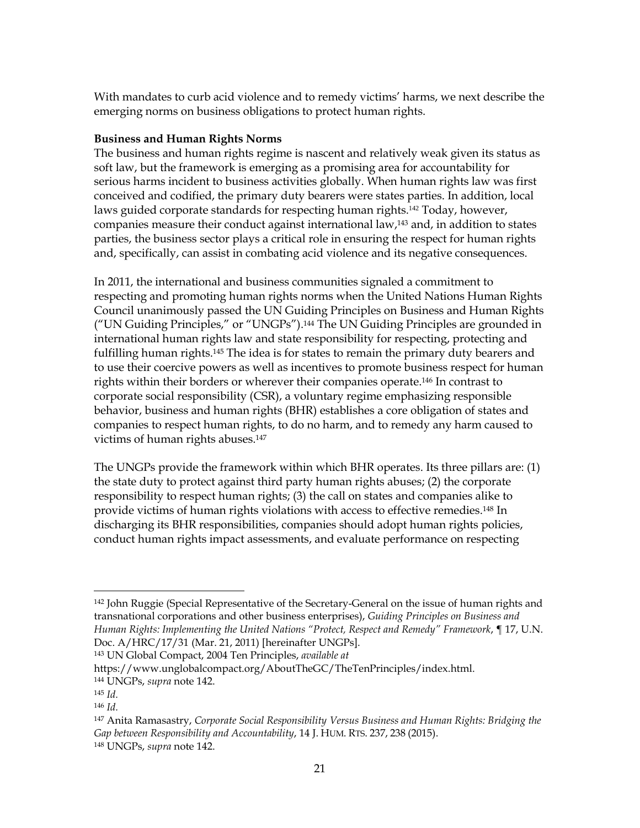With mandates to curb acid violence and to remedy victims' harms, we next describe the emerging norms on business obligations to protect human rights.

## **Business and Human Rights Norms**

The business and human rights regime is nascent and relatively weak given its status as soft law, but the framework is emerging as a promising area for accountability for serious harms incident to business activities globally. When human rights law was first conceived and codified, the primary duty bearers were states parties. In addition, local laws guided corporate standards for respecting human rights.<sup>142</sup> Today, however, companies measure their conduct against international law,143 and, in addition to states parties, the business sector plays a critical role in ensuring the respect for human rights and, specifically, can assist in combating acid violence and its negative consequences.

In 2011, the international and business communities signaled a commitment to respecting and promoting human rights norms when the United Nations Human Rights Council unanimously passed the UN Guiding Principles on Business and Human Rights ("UN Guiding Principles," or "UNGPs").144 The UN Guiding Principles are grounded in international human rights law and state responsibility for respecting, protecting and fulfilling human rights.145 The idea is for states to remain the primary duty bearers and to use their coercive powers as well as incentives to promote business respect for human rights within their borders or wherever their companies operate.146 In contrast to corporate social responsibility (CSR), a voluntary regime emphasizing responsible behavior, business and human rights (BHR) establishes a core obligation of states and companies to respect human rights, to do no harm, and to remedy any harm caused to victims of human rights abuses.147

The UNGPs provide the framework within which BHR operates. Its three pillars are: (1) the state duty to protect against third party human rights abuses; (2) the corporate responsibility to respect human rights; (3) the call on states and companies alike to provide victims of human rights violations with access to effective remedies.148 In discharging its BHR responsibilities, companies should adopt human rights policies, conduct human rights impact assessments, and evaluate performance on respecting

<sup>143</sup> UN Global Compact, 2004 Ten Principles, *available at*

<sup>&</sup>lt;sup>142</sup> John Ruggie (Special Representative of the Secretary-General on the issue of human rights and transnational corporations and other business enterprises), *Guiding Principles on Business and Human Rights: Implementing the United Nations "Protect, Respect and Remedy" Framework*, ¶ 17, U.N. Doc. A/HRC/17/31 (Mar. 21, 2011) [hereinafter UNGPs].

https://www.unglobalcompact.org/AboutTheGC/TheTenPrinciples/index.html. <sup>144</sup> UNGPs, *supra* note 142.

<sup>145</sup> *Id.*

<sup>146</sup> *Id.*

<sup>147</sup> Anita Ramasastry, *Corporate Social Responsibility Versus Business and Human Rights: Bridging the Gap between Responsibility and Accountability*, 14 J. HUM. RTS. 237, 238 (2015). <sup>148</sup> UNGPs, *supra* note 142.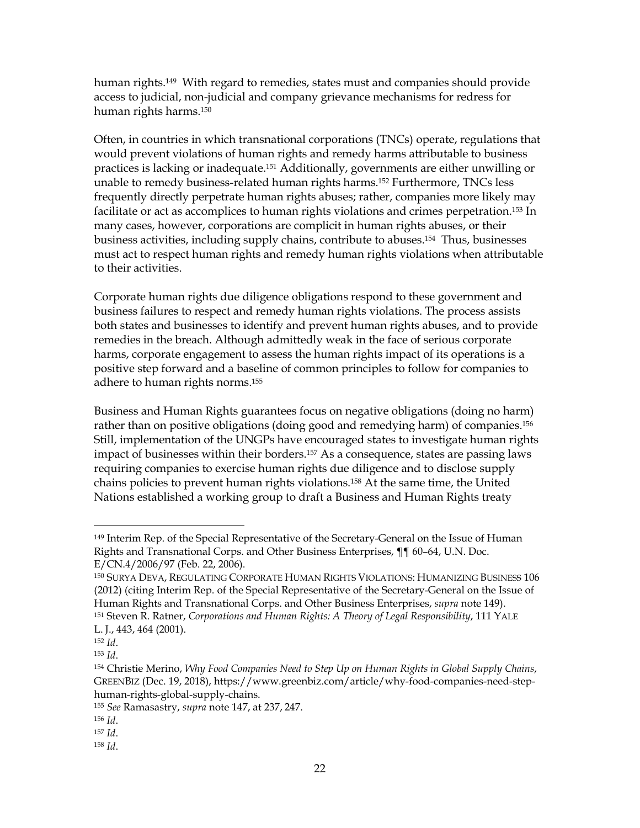human rights.149 With regard to remedies, states must and companies should provide access to judicial, non-judicial and company grievance mechanisms for redress for human rights harms.150

Often, in countries in which transnational corporations (TNCs) operate, regulations that would prevent violations of human rights and remedy harms attributable to business practices is lacking or inadequate.151 Additionally, governments are either unwilling or unable to remedy business-related human rights harms.152 Furthermore, TNCs less frequently directly perpetrate human rights abuses; rather, companies more likely may facilitate or act as accomplices to human rights violations and crimes perpetration.153 In many cases, however, corporations are complicit in human rights abuses, or their business activities, including supply chains, contribute to abuses.154 Thus, businesses must act to respect human rights and remedy human rights violations when attributable to their activities.

Corporate human rights due diligence obligations respond to these government and business failures to respect and remedy human rights violations. The process assists both states and businesses to identify and prevent human rights abuses, and to provide remedies in the breach. Although admittedly weak in the face of serious corporate harms, corporate engagement to assess the human rights impact of its operations is a positive step forward and a baseline of common principles to follow for companies to adhere to human rights norms.155

Business and Human Rights guarantees focus on negative obligations (doing no harm) rather than on positive obligations (doing good and remedying harm) of companies.156 Still, implementation of the UNGPs have encouraged states to investigate human rights impact of businesses within their borders.157 As a consequence, states are passing laws requiring companies to exercise human rights due diligence and to disclose supply chains policies to prevent human rights violations.158 At the same time, the United Nations established a working group to draft a Business and Human Rights treaty

<sup>149</sup> Interim Rep. of the Special Representative of the Secretary-General on the Issue of Human Rights and Transnational Corps. and Other Business Enterprises, ¶¶ 60–64, U.N. Doc. E/CN.4/2006/97 (Feb. 22, 2006).

<sup>150</sup> SURYA DEVA, REGULATING CORPORATE HUMAN RIGHTS VIOLATIONS: HUMANIZING BUSINESS 106 (2012) (citing Interim Rep. of the Special Representative of the Secretary-General on the Issue of Human Rights and Transnational Corps. and Other Business Enterprises, *supra* note 149).<br><sup>151</sup> Steven R. Ratner, *Corporations and Human Rights: A Theory of Legal Responsibility*, 111 YALE

L. J., 443, 464 (2001).

<sup>152</sup> *Id*.

<sup>153</sup> *Id*.

<sup>154</sup> Christie Merino, *Why Food Companies Need to Step Up on Human Rights in Global Supply Chains*, GREENBIZ (Dec. 19, 2018), [https://www.greenbiz.com/article/why-food-companies-need-step](https://www.greenbiz.com/article/why-food-companies-need-step-human-rights-global-supply-chains)[human-rights-global-supply-chains.](https://www.greenbiz.com/article/why-food-companies-need-step-human-rights-global-supply-chains) 155 *See* Ramasastry, *supra* note 147, at 237, 247.

<sup>156</sup> *Id*.

<sup>157</sup> *Id*.

<sup>158</sup> *Id*.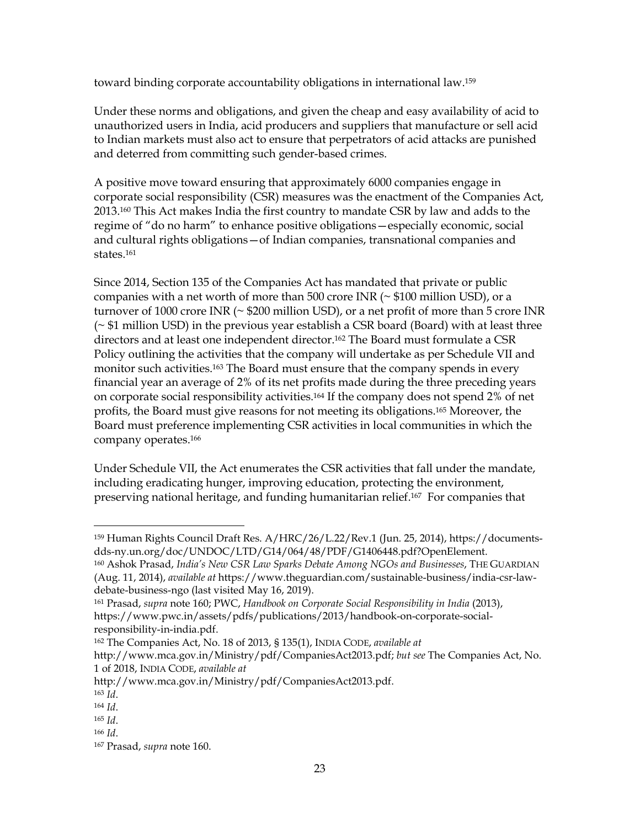toward binding corporate accountability obligations in international law.159

Under these norms and obligations, and given the cheap and easy availability of acid to unauthorized users in India, acid producers and suppliers that manufacture or sell acid to Indian markets must also act to ensure that perpetrators of acid attacks are punished and deterred from committing such gender-based crimes.

A positive move toward ensuring that approximately 6000 companies engage in corporate social responsibility (CSR) measures was the enactment of the Companies Act, 2013.160 This Act makes India the first country to mandate CSR by law and adds to the regime of "do no harm" to enhance positive obligations—especially economic, social and cultural rights obligations—of Indian companies, transnational companies and states.161

Since 2014, Section 135 of the Companies Act has mandated that private or public companies with a net worth of more than 500 crore INR (~ \$100 million USD), or a turnover of 1000 crore INR (~ \$200 million USD), or a net profit of more than 5 crore INR (~ \$1 million USD) in the previous year establish a CSR board (Board) with at least three directors and at least one independent director.<sup>162</sup> The Board must formulate a CSR Policy outlining the activities that the company will undertake as per Schedule VII and monitor such activities.<sup>163</sup> The Board must ensure that the company spends in every financial year an average of 2% of its net profits made during the three preceding years on corporate social responsibility activities.164 If the company does not spend 2% of net profits, the Board must give reasons for not meeting its obligations.165 Moreover, the Board must preference implementing CSR activities in local communities in which the company operates.166

Under Schedule VII, the Act enumerates the CSR activities that fall under the mandate, including eradicating hunger, improving education, protecting the environment, preserving national heritage, and funding humanitarian relief.167 For companies that

<sup>159</sup> Human Rights Council Draft Res. A/HRC/26/L.22/Rev.1 (Jun. 25, 2014), [https://documents](https://documents-dds-ny.un.org/doc/UNDOC/LTD/G14/064/48/PDF/G1406448.pdf?OpenElement)[dds-ny.un.org/doc/UNDOC/LTD/G14/064/48/PDF/G1406448.pdf?OpenElement.](https://documents-dds-ny.un.org/doc/UNDOC/LTD/G14/064/48/PDF/G1406448.pdf?OpenElement)

<sup>160</sup> Ashok Prasad, *India's New CSR Law Sparks Debate Among NGOs and Businesses*, THE GUARDIAN (Aug. 11, 2014), *available at* [https://www.theguardian.com/sustainable-business/india-csr-law](https://www.theguardian.com/sustainable-business/india-csr-law-debate-business-ngo)[debate-business-ngo](https://www.theguardian.com/sustainable-business/india-csr-law-debate-business-ngo) (last visited May 16, 2019).

<sup>161</sup> Prasad, *supra* note 160; PWC, *Handbook on Corporate Social Responsibility in India* (2013), [https://www.pwc.in/assets/pdfs/publications/2013/handbook-on-corporate-social](https://www.pwc.in/assets/pdfs/publications/2013/handbook-on-corporate-social-responsibility-in-india.pdf)[responsibility-in-india.pdf.](https://www.pwc.in/assets/pdfs/publications/2013/handbook-on-corporate-social-responsibility-in-india.pdf)

<sup>162</sup> The Companies Act, No. 18 of 2013, § 135(1), INDIA CODE, *available at* 

[http://www.mca.gov.in/Ministry/pdf/CompaniesAct2013.pdf;](http://www.mca.gov.in/Ministry/pdf/CompaniesAct2013.pdf) *but see* The Companies Act, No. 1 of 2018, INDIA CODE, *available at*

[http://www.mca.gov.in/Ministry/pdf/CompaniesAct2013.pdf.](http://www.mca.gov.in/Ministry/pdf/CompaniesAct2013.pdf) 163 *Id*.

<sup>164</sup> *Id*.

<sup>165</sup> *Id*.

<sup>166</sup> *Id*.

<sup>167</sup> Prasad, *supra* note 160.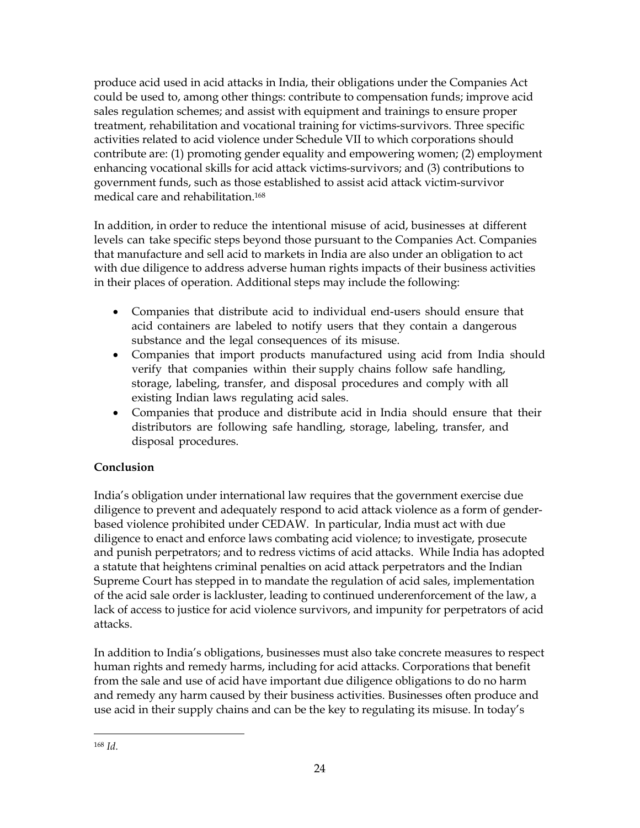produce acid used in acid attacks in India, their obligations under the Companies Act could be used to, among other things: contribute to compensation funds; improve acid sales regulation schemes; and assist with equipment and trainings to ensure proper treatment, rehabilitation and vocational training for victims-survivors. Three specific activities related to acid violence under Schedule VII to which corporations should contribute are: (1) promoting gender equality and empowering women; (2) employment enhancing vocational skills for acid attack victims-survivors; and (3) contributions to government funds, such as those established to assist acid attack victim-survivor medical care and rehabilitation.168

In addition, in order to reduce the intentional misuse of acid, businesses at different levels can take specific steps beyond those pursuant to the Companies Act. Companies that manufacture and sell acid to markets in India are also under an obligation to act with due diligence to address adverse human rights impacts of their business activities in their places of operation. Additional steps may include the following:

- Companies that distribute acid to individual end-users should ensure that acid containers are labeled to notify users that they contain a dangerous substance and the legal consequences of its misuse.
- Companies that import products manufactured using acid from India should verify that companies within their supply chains follow safe handling, storage, labeling, transfer, and disposal procedures and comply with all existing Indian laws regulating acid sales.
- Companies that produce and distribute acid in India should ensure that their distributors are following safe handling, storage, labeling, transfer, and disposal procedures.

# **Conclusion**

India's obligation under international law requires that the government exercise due diligence to prevent and adequately respond to acid attack violence as a form of genderbased violence prohibited under CEDAW. In particular, India must act with due diligence to enact and enforce laws combating acid violence; to investigate, prosecute and punish perpetrators; and to redress victims of acid attacks. While India has adopted a statute that heightens criminal penalties on acid attack perpetrators and the Indian Supreme Court has stepped in to mandate the regulation of acid sales, implementation of the acid sale order is lackluster, leading to continued underenforcement of the law, a lack of access to justice for acid violence survivors, and impunity for perpetrators of acid attacks.

In addition to India's obligations, businesses must also take concrete measures to respect human rights and remedy harms, including for acid attacks. Corporations that benefit from the sale and use of acid have important due diligence obligations to do no harm and remedy any harm caused by their business activities. Businesses often produce and use acid in their supply chains and can be the key to regulating its misuse. In today's